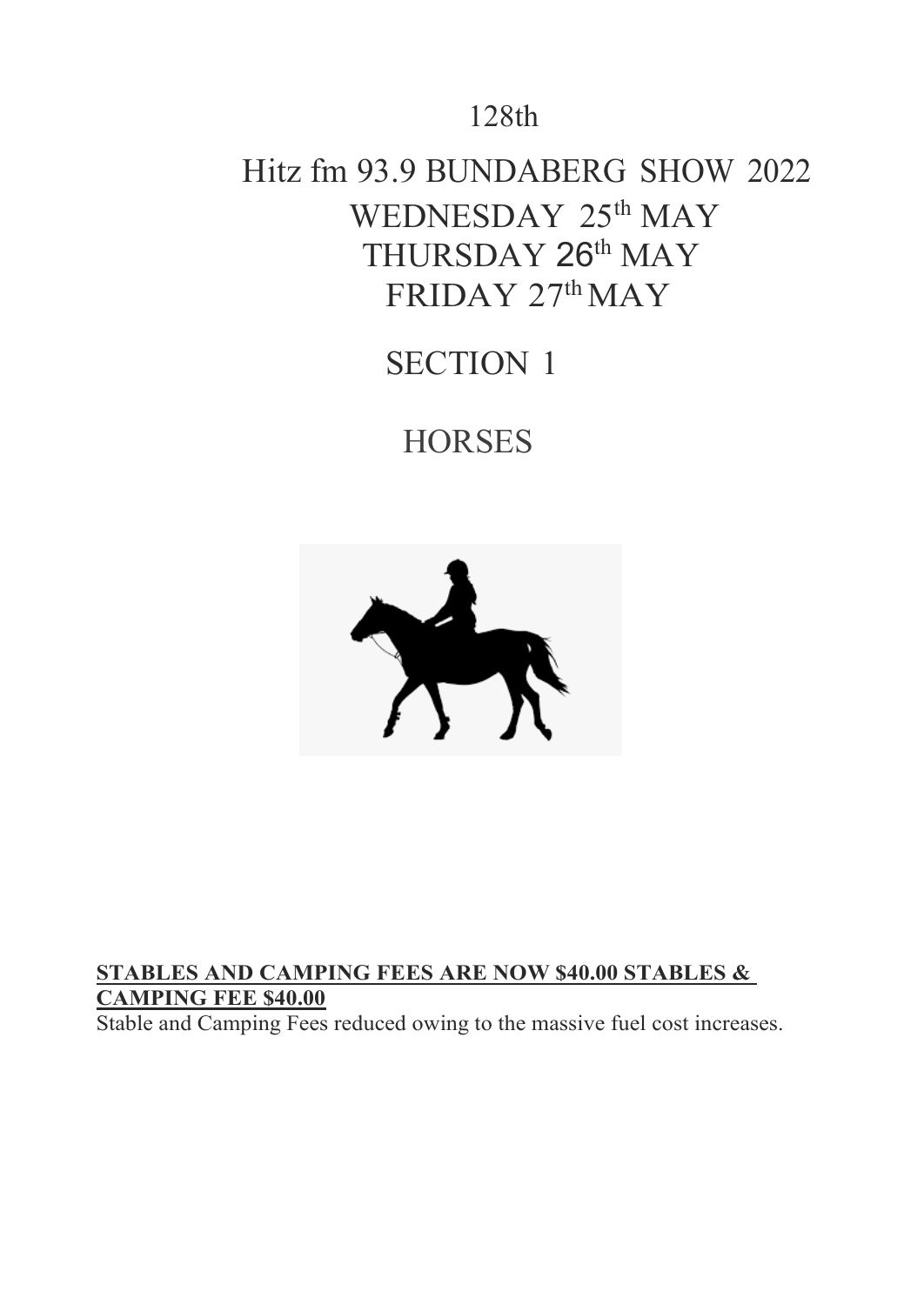# 128th

# Hitz fm 93.9 BUNDABERG SHOW 2022 WEDNESDAY 25<sup>th</sup> MAY THURSDAY 26<sup>th</sup> MAY  $FRIDAY 27<sup>th</sup> MAY$

# SECTION 1

# **HORSES**



# **STABLES AND CAMPING FEES ARE NOW \$40.00 STABLES & CAMPING FEE \$40.00**

Stable and Camping Fees reduced owing to the massive fuel cost increases.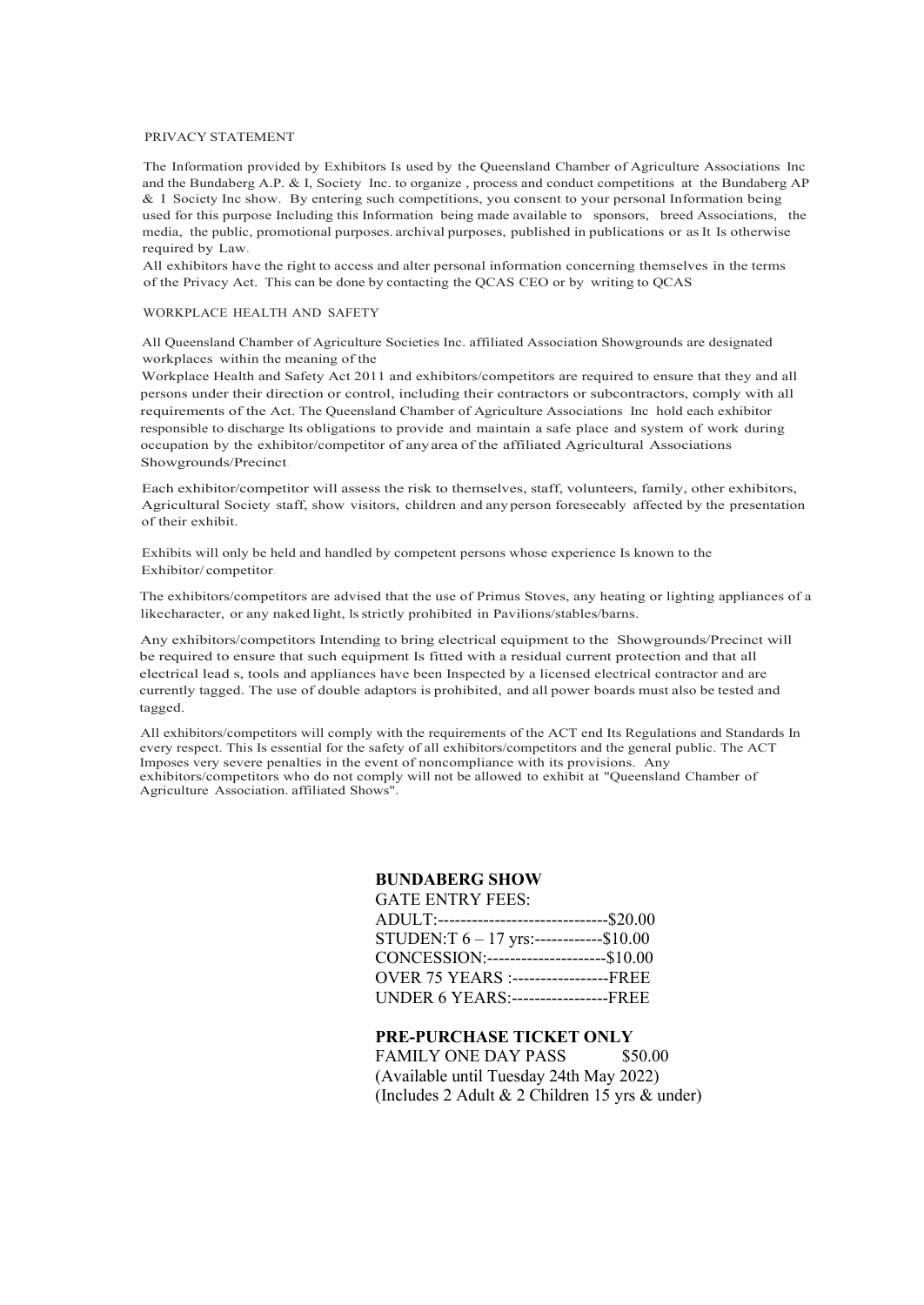#### PRIVACY STATEMENT

The Information provided by Exhibitors Is used by the Queensland Chamber of Agriculture Associations Inc. and the Bundaberg A.P. & I, Society Inc. to organize , process and conduct competitions at the Bundaberg AP & I Society Inc show. By entering such competitions, you consent to your personal Information being used for this purpose Including this Information being made available to sponsors, breed Associations, the media, the public, promotional purposes. archival purposes, published in publications or as It Is otherwise required by Law.

All exhibitors have the right to access and alter personal information concerning themselves in the terms of the Privacy Act. This can be done by contacting the QCAS CEO or by writing to QCAS

#### WORKPLACE HEALTH AND SAFETY

All Queensland Chamber of Agriculture Societies Inc. affiliated Association Showgrounds are designated workplaces within the meaning of the

Workplace Health and Safety Act 2011 and exhibitors/competitors are required to ensure that they and all persons under their direction or control, including their contractors or subcontractors, comply with all requirements of the Act. The Queensland Chamber of Agriculture Associations Inc hold each exhibitor responsible to discharge Its obligations to provide and maintain a safe place and system of work during occupation by the exhibitor/competitor of anyarea of the affiliated Agricultural Associations Showgrounds/Precinct.

Each exhibitor/competitor will assess the risk to themselves, staff, volunteers, family, other exhibitors, Agricultural Society staff, show visitors, children and anyperson foreseeably affected by the presentation of their exhibit.

Exhibits will only be held and handled by competent persons whose experience Is known to the Exhibitor/ competitor.

The exhibitors/competitors are advised that the use of Primus Stoves, any heating or lighting appliances of a likecharacter, or any naked light, lsstrictly prohibited in Pavilions/stables/barns.

Any exhibitors/competitors Intending to bring electrical equipment to the Showgrounds/Precinct will be required to ensure that such equipment Is fitted with a residual current protection and that all electrical lead s, tools and appliances have been Inspected by a licensed electrical contractor and are currently tagged. The use of double adaptors is prohibited, and all power boards must also be tested and tagged.

All exhibitors/competitors will comply with the requirements of the ACT end Its Regulations and Standards In every respect. This Is essential for the safety of all exhibitors/competitors and the general public. The ACT Imposes very severe penalties in the event of noncompliance with its provisions. Any exhibitors/competitors who do not comply will not be allowed to exhibit at "Queensland Chamber of Agriculture Association. affiliated Shows".

#### **BUNDABERG SHOW** GATE ENTRY FEES:

| AJA I DENINI TEDO.                            |  |
|-----------------------------------------------|--|
| ADULT:--------------------------------\$20.00 |  |
| STUDEN:T $6 - 17$ yrs:------------\$10.00     |  |
| CONCESSION:-----------------------\$10.00     |  |
| <b>OVER 75 YEARS :------------------FREE</b>  |  |
| <b>UNDER 6 YEARS:-----------------FREE</b>    |  |

#### **PRE-PURCHASE TICKET ONLY**

FAMILY ONE DAY PASS \$50.00 (Available until Tuesday 24th May 2022) (Includes 2 Adult & 2 Children 15 yrs & under)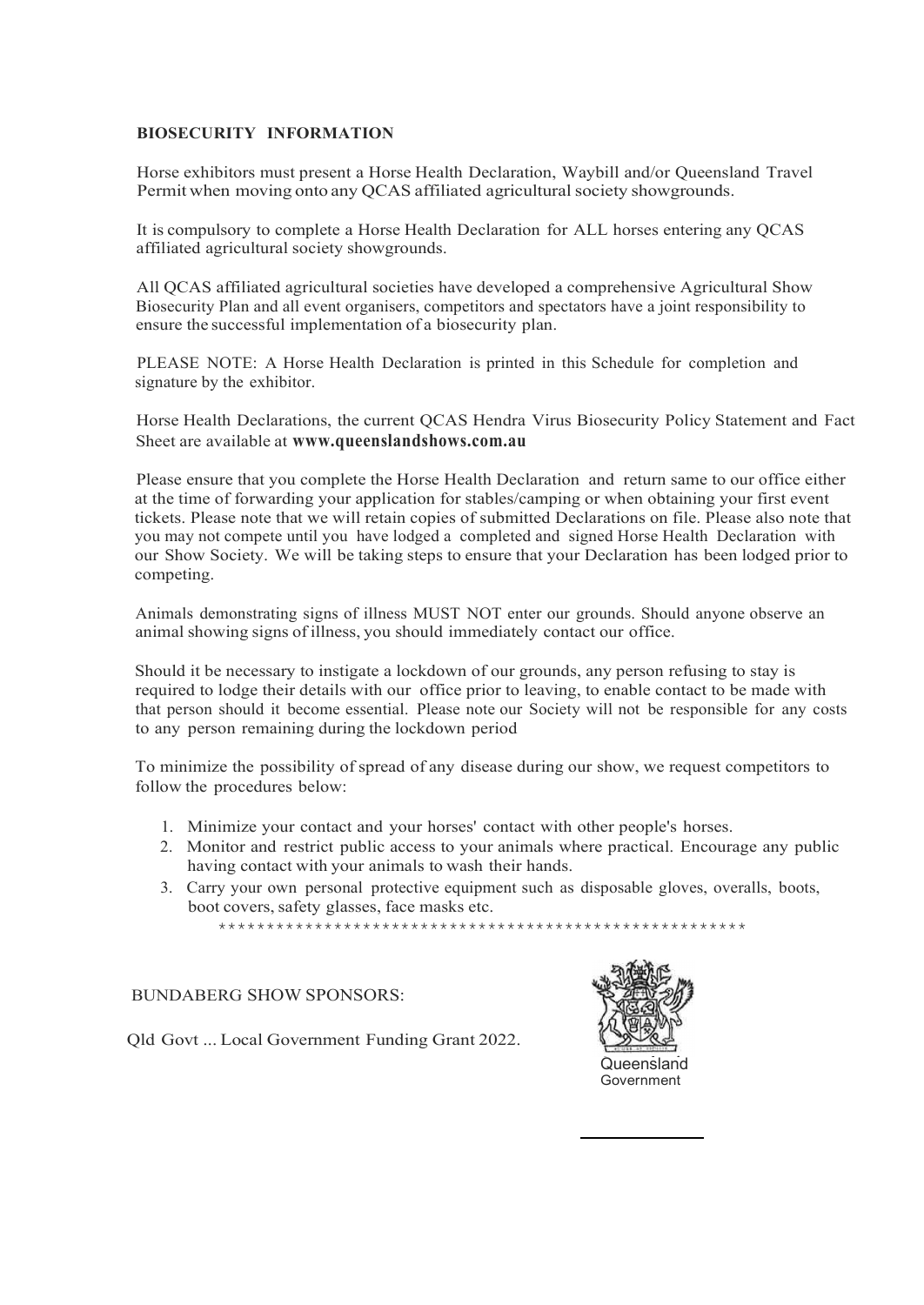#### **BIOSECURITY INFORMATION**

Horse exhibitors must present a Horse Health Declaration, Waybill and/or Queensland Travel Permit when moving onto any QCAS affiliated agricultural society showgrounds.

It is compulsory to complete a Horse Health Declaration for ALL horses entering any QCAS affiliated agricultural society showgrounds.

All QCAS affiliated agricultural societies have developed a comprehensive Agricultural Show Biosecurity Plan and all event organisers, competitors and spectators have a joint responsibility to ensure the successful implementation of a biosecurity plan.

PLEASE NOTE: A Horse Health Declaration is printed in this Schedule for completion and signature by the exhibitor.

Horse Health Declarations, the current QCAS Hendra Virus Biosecurity Policy Statement and Fact Sheet are available at **www.queenslandshows.com.au**

Please ensure that you complete the Horse Health Declaration and return same to our office either at the time of forwarding your application for stables/camping or when obtaining your first event tickets. Please note that we will retain copies of submitted Declarations on file. Please also note that you may not compete until you have lodged a completed and signed Horse Health Declaration with our Show Society. We will be taking steps to ensure that your Declaration has been lodged prior to competing.

Animals demonstrating signs of illness MUST NOT enter our grounds. Should anyone observe an animal showing signs of illness, you should immediately contact our office.

Should it be necessary to instigate a lockdown of our grounds, any person refusing to stay is required to lodge their details with our office prior to leaving, to enable contact to be made with that person should it become essential. Please note our Society will not be responsible for any costs to any person remaining during the lockdown period

To minimize the possibility of spread of any disease during our show, we request competitors to follow the procedures below:

- 1. Minimize your contact and your horses' contact with other people's horses.
- 2. Monitor and restrict public access to your animals where practical. Encourage any public having contact with your animals to wash their hands.
- 3. Carry your own personal protective equipment such as disposable gloves, overalls, boots, boot covers, safety glasses, face masks etc. \*\*\*\*\*\*\*\*\*\*\*\*\*\*\*\*\*\*\*\*\*\*\*\*\*\*\*\*\*\*\*\*\*\*\*\*\*\*\*\*\*\*\*\*\*\*\*\*\*\*\*\*\*\*\*

BUNDABERG SHOW SPONSORS:



Qld Govt ... Local Government Funding Grant 2022.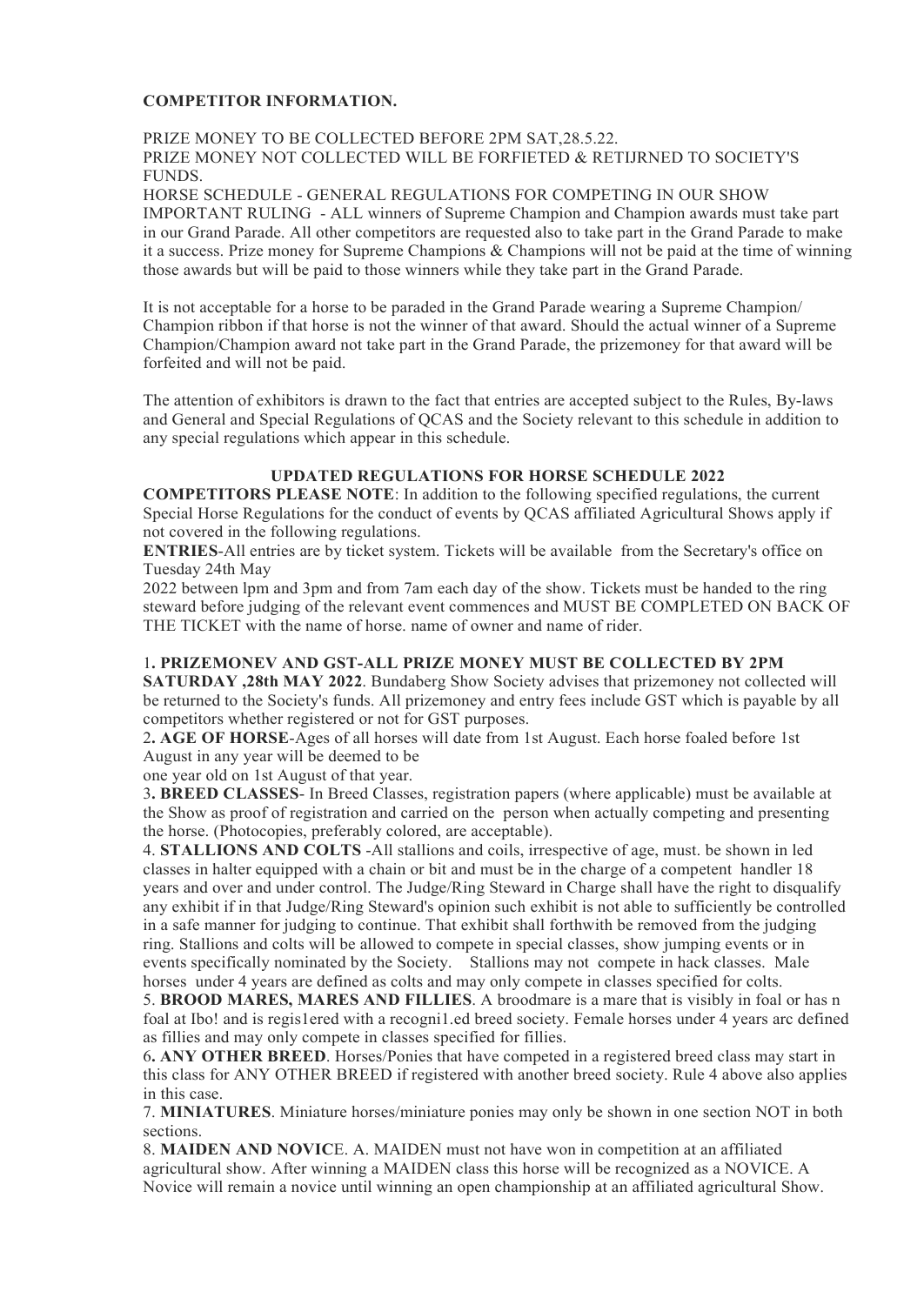#### **COMPETITOR INFORMATION.**

#### PRIZE MONEY TO BE COLLECTED BEFORE 2PM SAT,28.5.22. PRIZE MONEY NOT COLLECTED WILL BE FORFIETED & RETIJRNED TO SOCIETY'S FUNDS.

HORSE SCHEDULE - GENERAL REGULATIONS FOR COMPETING IN OUR SHOW IMPORTANT RULING - ALL winners of Supreme Champion and Champion awards must take part in our Grand Parade. All other competitors are requested also to take part in the Grand Parade to make it a success. Prize money for Supreme Champions & Champions will not be paid at the time of winning those awards but will be paid to those winners while they take part in the Grand Parade.

It is not acceptable for a horse to be paraded in the Grand Parade wearing a Supreme Champion/ Champion ribbon if that horse is not the winner of that award. Should the actual winner of a Supreme Champion/Champion award not take part in the Grand Parade, the prizemoney for that award will be forfeited and will not be paid.

The attention of exhibitors is drawn to the fact that entries are accepted subject to the Rules, By-laws and General and Special Regulations of QCAS and the Society relevant to this schedule in addition to any special regulations which appear in this schedule.

#### **UPDATED REGULATIONS FOR HORSE SCHEDULE 2022**

**COMPETITORS PLEASE NOTE**: In addition to the following specified regulations, the current Special Horse Regulations for the conduct of events by QCAS affiliated Agricultural Shows apply if not covered in the following regulations.

**ENTRIES**-All entries are by ticket system. Tickets will be available from the Secretary's office on Tuesday 24th May

2022 between lpm and 3pm and from 7am each day of the show. Tickets must be handed to the ring steward before judging of the relevant event commences and MUST BE COMPLETED ON BACK OF THE TICKET with the name of horse. name of owner and name of rider.

#### 1**. PRIZEMONEV AND GST-ALL PRIZE MONEY MUST BE COLLECTED BY 2PM**

**SATURDAY ,28th MAY 2022**. Bundaberg Show Society advises that prizemoney not collected will be returned to the Society's funds. All prizemoney and entry fees include GST which is payable by all competitors whether registered or not for GST purposes.

2**. AGE OF HORSE**-Ages of all horses will date from 1st August. Each horse foaled before 1st August in any year will be deemed to be

one year old on 1st August of that year.

3**. BREED CLASSES**- In Breed Classes, registration papers (where applicable) must be available at the Show as proof of registration and carried on the person when actually competing and presenting the horse. (Photocopies, preferably colored, are acceptable).

4. **STALLIONS AND COLTS** -All stallions and coils, irrespective of age, must. be shown in led classes in halter equipped with a chain or bit and must be in the charge of a competent handler 18 years and over and under control. The Judge/Ring Steward in Charge shall have the right to disqualify any exhibit if in that Judge/Ring Steward's opinion such exhibit is not able to sufficiently be controlled in a safe manner for judging to continue. That exhibit shall forthwith be removed from the judging ring. Stallions and colts will be allowed to compete in special classes, show jumping events or in events specifically nominated by the Society. Stallions may not compete in hack classes. Male horses under 4 years are defined as colts and may only compete in classes specified for colts.

5. **BROOD MARES, MARES AND FILLIES**. A broodmare is a mare that is visibly in foal or has n foal at Ibo! and is regis1ered with a recogni1.ed breed society. Female horses under 4 years arc defined as fillies and may only compete in classes specified for fillies.

6**. ANY OTHER BREED**. Horses/Ponies that have competed in a registered breed class may start in this class for ANY OTHER BREED if registered with another breed society. Rule 4 above also applies in this case.

7. **MINIATURES**. Miniature horses/miniature ponies may only be shown in one section NOT in both sections.

8. **MAIDEN AND NOVIC**E. A. MAIDEN must not have won in competition at an affiliated agricultural show. After winning a MAIDEN class this horse will be recognized as a NOVICE. A Novice will remain a novice until winning an open championship at an affiliated agricultural Show.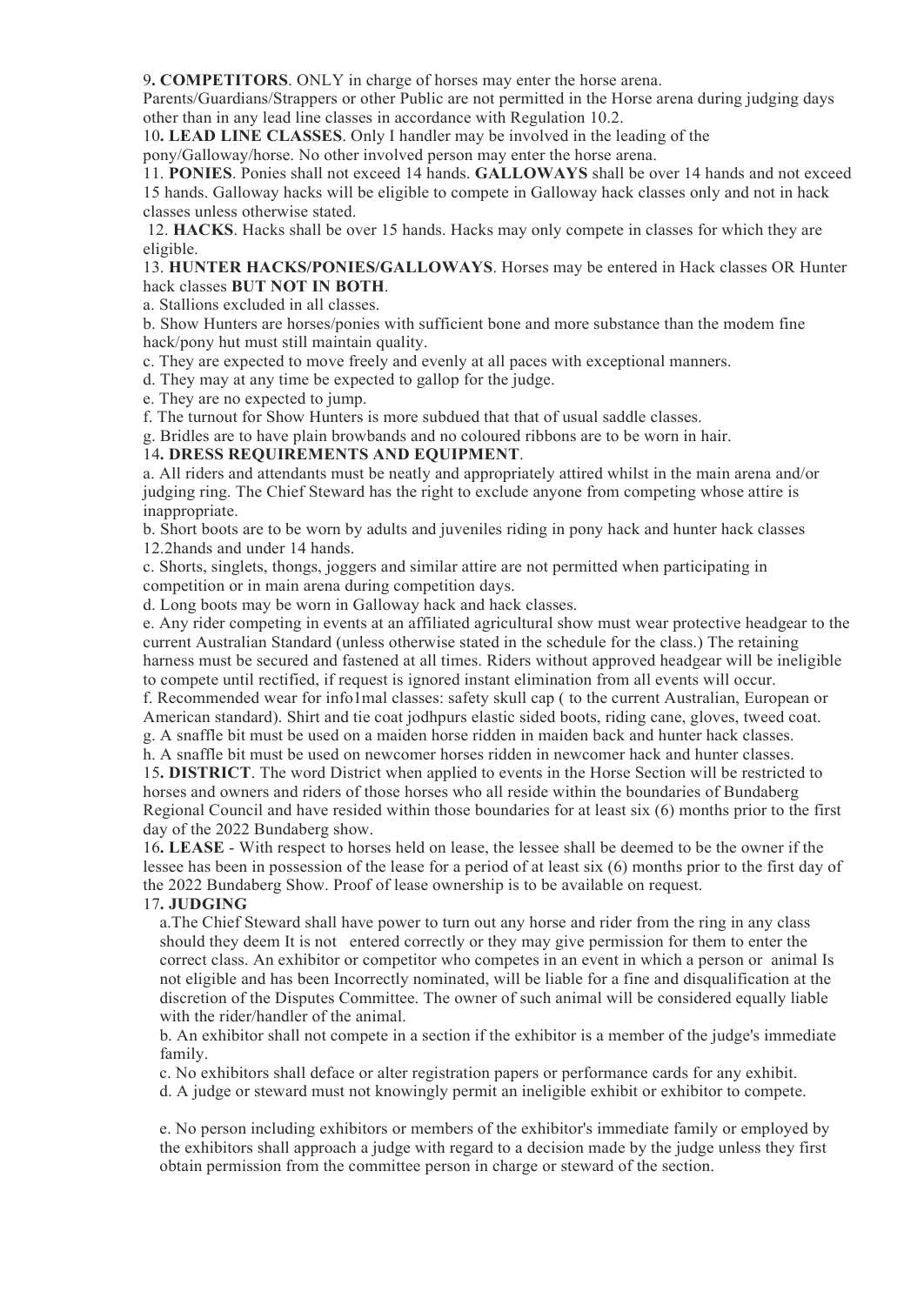9**. COMPETITORS**. ONLY in charge of horses may enter the horse arena.

Parents/Guardians/Strappers or other Public are not permitted in the Horse arena during judging days other than in any lead line classes in accordance with Regulation 10.2.

10**. LEAD LINE CLASSES**. Only I handler may be involved in the leading of the

pony/Galloway/horse. No other involved person may enter the horse arena.

11. **PONIES**. Ponies shall not exceed 14 hands. **GALLOWAYS** shall be over 14 hands and not exceed 15 hands. Galloway hacks will be eligible to compete in Galloway hack classes only and not in hack classes unless otherwise stated.

12. **HACKS**. Hacks shall be over 15 hands. Hacks may only compete in classes for which they are eligible.

13. **HUNTER HACKS/PONIES/GALLOWAYS**. Horses may be entered in Hack classes OR Hunter hack classes **BUT NOT IN BOTH**.

a. Stallions excluded in all classes.

b. Show Hunters are horses/ponies with sufficient bone and more substance than the modem fine hack/pony hut must still maintain quality.

c. They are expected to move freely and evenly at all paces with exceptional manners.

d. They may at any time be expected to gallop for the judge.

e. They are no expected to jump.

f. The turnout for Show Hunters is more subdued that that of usual saddle classes.

g. Bridles are to have plain browbands and no coloured ribbons are to be worn in hair.

#### 14**. DRESS REQUIREMENTS AND EQUIPMENT**.

a. All riders and attendants must be neatly and appropriately attired whilst in the main arena and/or judging ring. The Chief Steward has the right to exclude anyone from competing whose attire is inappropriate.

b. Short boots are to be worn by adults and juveniles riding in pony hack and hunter hack classes 12.2hands and under 14 hands.

c. Shorts, singlets, thongs, joggers and similar attire are not permitted when participating in competition or in main arena during competition days.

d. Long boots may be worn in Galloway hack and hack classes.

e. Any rider competing in events at an affiliated agricultural show must wear protective headgear to the current Australian Standard (unless otherwise stated in the schedule for the class.) The retaining harness must be secured and fastened at all times. Riders without approved headgear will be ineligible to compete until rectified, if request is ignored instant elimination from all events will occur.

f. Recommended wear for info1mal classes: safety skull cap ( to the current Australian, European or American standard). Shirt and tie coat jodhpurs elastic sided boots, riding cane, gloves, tweed coat.

g. A snaffle bit must be used on a maiden horse ridden in maiden back and hunter hack classes. h. A snaffle bit must be used on newcomer horses ridden in newcomer hack and hunter classes.

15**. DISTRICT**. The word District when applied to events in the Horse Section will be restricted to horses and owners and riders of those horses who all reside within the boundaries of Bundaberg Regional Council and have resided within those boundaries for at least six (6) months prior to the first day of the 2022 Bundaberg show.

16**. LEASE** - With respect to horses held on lease, the lessee shall be deemed to be the owner if the lessee has been in possession of the lease for a period of at least six (6) months prior to the first day of the 2022 Bundaberg Show. Proof of lease ownership is to be available on request.

#### 17**. JUDGING**

a.The Chief Steward shall have power to turn out any horse and rider from the ring in any class should they deem It is not entered correctly or they may give permission for them to enter the correct class. An exhibitor or competitor who competes in an event in which a person or animal Is not eligible and has been Incorrectly nominated, will be liable for a fine and disqualification at the discretion of the Disputes Committee. The owner of such animal will be considered equally liable with the rider/handler of the animal.

b. An exhibitor shall not compete in a section if the exhibitor is a member of the judge's immediate family.

c. No exhibitors shall deface or alter registration papers or performance cards for any exhibit.

d. A judge or steward must not knowingly permit an ineligible exhibit or exhibitor to compete.

e. No person including exhibitors or members of the exhibitor's immediate family or employed by the exhibitors shall approach a judge with regard to a decision made by the judge unless they first obtain permission from the committee person in charge or steward of the section.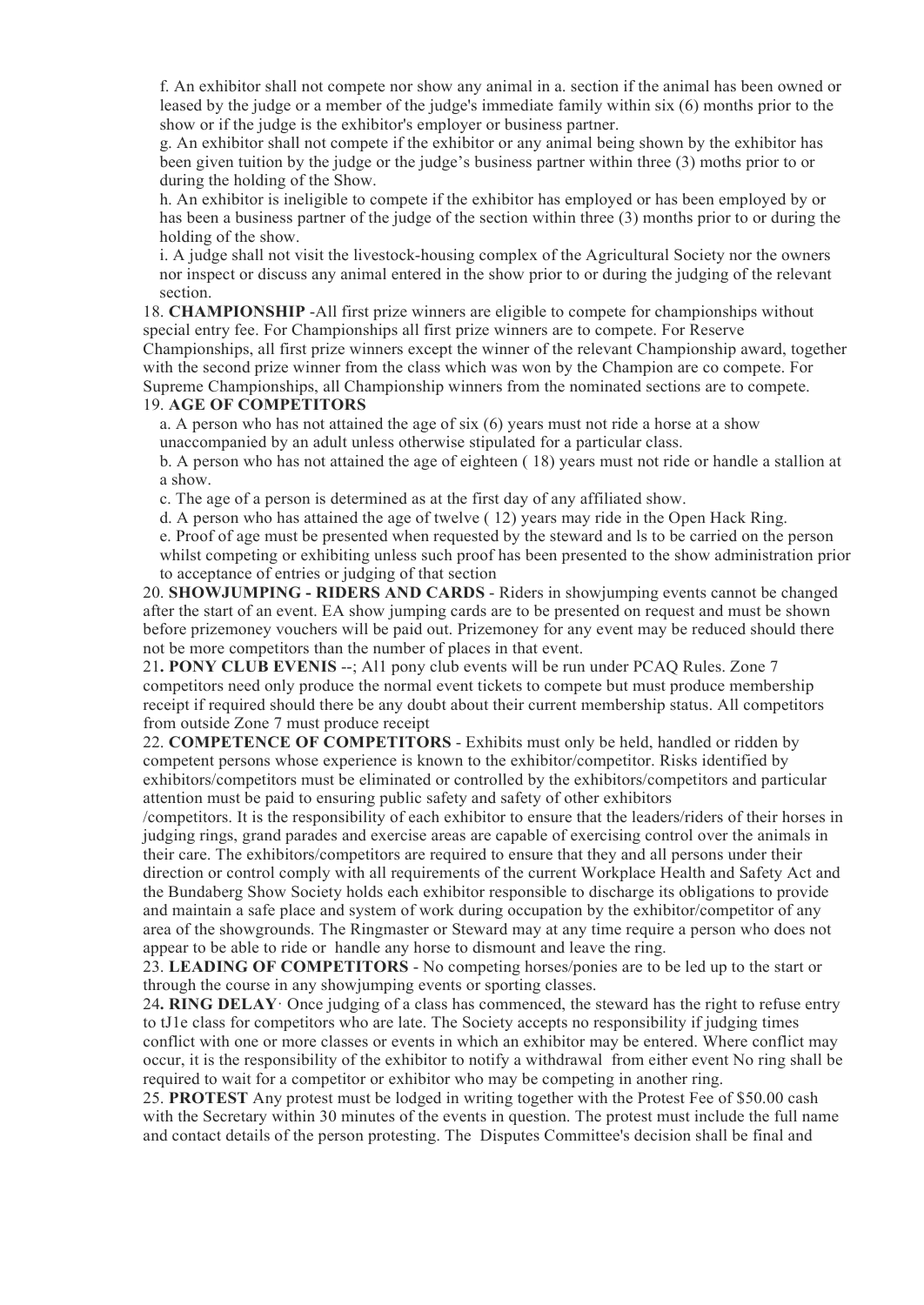f. An exhibitor shall not compete nor show any animal in a. section if the animal has been owned or leased by the judge or a member of the judge's immediate family within six (6) months prior to the show or if the judge is the exhibitor's employer or business partner.

g. An exhibitor shall not compete if the exhibitor or any animal being shown by the exhibitor has been given tuition by the judge or the judge's business partner within three (3) moths prior to or during the holding of the Show.

h. An exhibitor is ineligible to compete if the exhibitor has employed or has been employed by or has been a business partner of the judge of the section within three (3) months prior to or during the holding of the show.

i. A judge shall not visit the livestock-housing complex of the Agricultural Society nor the owners nor inspect or discuss any animal entered in the show prior to or during the judging of the relevant section.

18. **CHAMPIONSHIP** -All first prize winners are eligible to compete for championships without special entry fee. For Championships all first prize winners are to compete. For Reserve Championships, all first prize winners except the winner of the relevant Championship award, together with the second prize winner from the class which was won by the Champion are co compete. For Supreme Championships, all Championship winners from the nominated sections are to compete.

#### 19. **AGE OF COMPETITORS**

a. A person who has not attained the age of six  $(6)$  years must not ride a horse at a show unaccompanied by an adult unless otherwise stipulated for a particular class.

b. A person who has not attained the age of eighteen ( 18) years must not ride or handle a stallion at a show.

c. The age of a person is determined as at the first day of any affiliated show.

d. A person who has attained the age of twelve ( 12) years may ride in the Open Hack Ring.

e. Proof of age must be presented when requested by the steward and ls to be carried on the person whilst competing or exhibiting unless such proof has been presented to the show administration prior to acceptance of entries or judging of that section

20. **SHOWJUMPING - RIDERS AND CARDS** - Riders in showjumping events cannot be changed after the start of an event. EA show jumping cards are to be presented on request and must be shown before prizemoney vouchers will be paid out. Prizemoney for any event may be reduced should there not be more competitors than the number of places in that event.

21**. PONY CLUB EVENIS** --; Al1 pony club events will be run under PCAQ Rules. Zone 7 competitors need only produce the normal event tickets to compete but must produce membership receipt if required should there be any doubt about their current membership status. All competitors from outside Zone 7 must produce receipt

22. **COMPETENCE OF COMPETITORS** - Exhibits must only be held, handled or ridden by competent persons whose experience is known to the exhibitor/competitor. Risks identified by exhibitors/competitors must be eliminated or controlled by the exhibitors/competitors and particular attention must be paid to ensuring public safety and safety of other exhibitors

/competitors. It is the responsibility of each exhibitor to ensure that the leaders/riders of their horses in judging rings, grand parades and exercise areas are capable of exercising control over the animals in their care. The exhibitors/competitors are required to ensure that they and all persons under their direction or control comply with all requirements of the current Workplace Health and Safety Act and the Bundaberg Show Society holds each exhibitor responsible to discharge its obligations to provide and maintain a safe place and system of work during occupation by the exhibitor/competitor of any area of the showgrounds. The Ringmaster or Steward may at any time require a person who does not appear to be able to ride or handle any horse to dismount and leave the ring.

23. **LEADING OF COMPETITORS** - No competing horses/ponies are to be led up to the start or through the course in any showjumping events or sporting classes.

24**. RING DELAY**· Once judging of a class has commenced, the steward has the right to refuse entry to tJ1e class for competitors who are late. The Society accepts no responsibility if judging times conflict with one or more classes or events in which an exhibitor may be entered. Where conflict may occur, it is the responsibility of the exhibitor to notify a withdrawal from either event No ring shall be required to wait for a competitor or exhibitor who may be competing in another ring.

25. **PROTEST** Any protest must be lodged in writing together with the Protest Fee of \$50.00 cash with the Secretary within 30 minutes of the events in question. The protest must include the full name and contact details of the person protesting. The Disputes Committee's decision shall be final and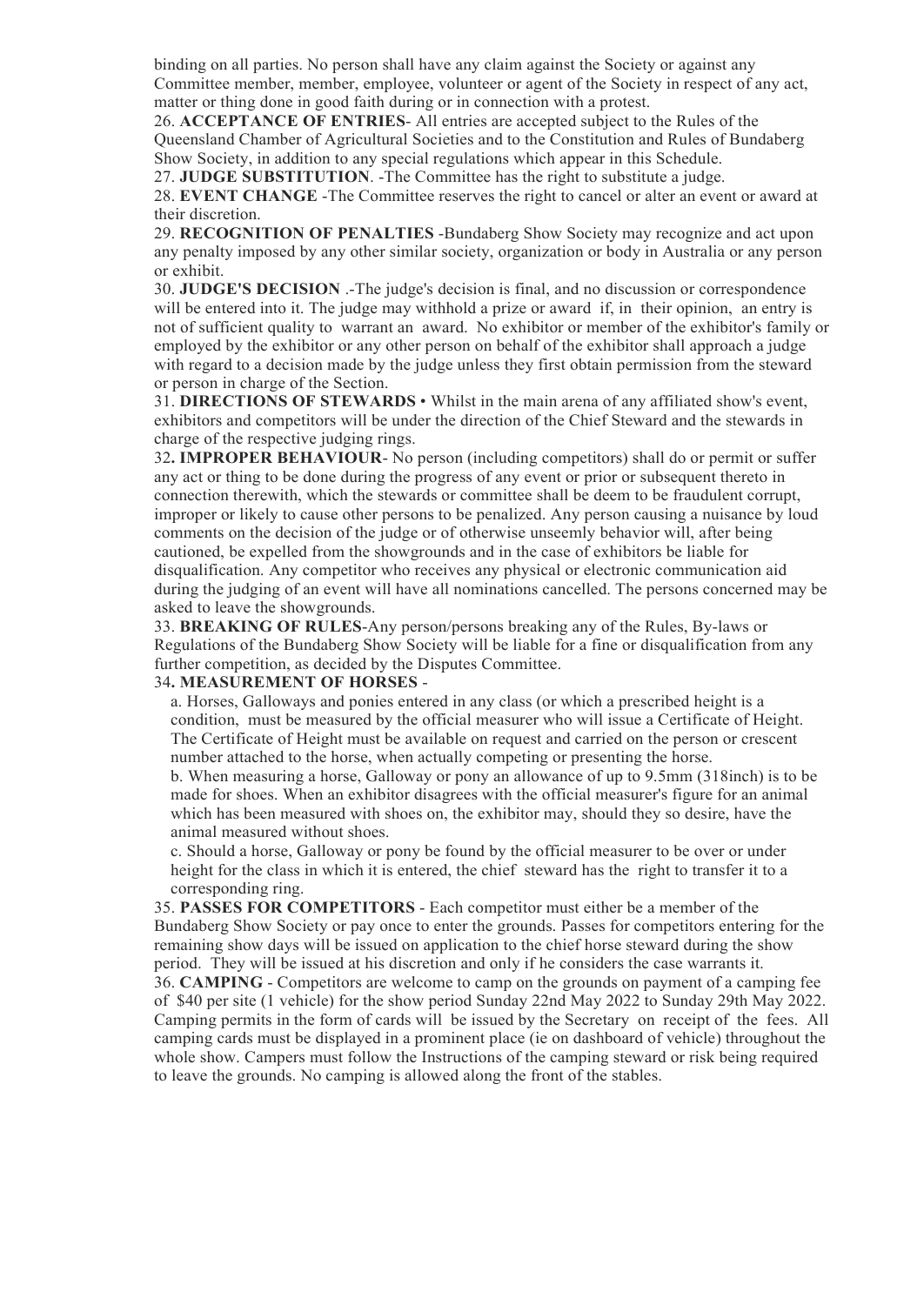binding on all parties. No person shall have any claim against the Society or against any Committee member, member, employee, volunteer or agent of the Society in respect of any act, matter or thing done in good faith during or in connection with a protest.

26. **ACCEPTANCE OF ENTRIES**- All entries are accepted subject to the Rules of the Queensland Chamber of Agricultural Societies and to the Constitution and Rules of Bundaberg Show Society, in addition to any special regulations which appear in this Schedule.

27. **JUDGE SUBSTITUTION**. -The Committee has the right to substitute a judge.

28. **EVENT CHANGE** -The Committee reserves the right to cancel or alter an event or award at their discretion.

29. **RECOGNITION OF PENALTIES** -Bundaberg Show Society may recognize and act upon any penalty imposed by any other similar society, organization or body in Australia or any person or exhibit.

30. **JUDGE'S DECISION** .-The judge's decision is final, and no discussion or correspondence will be entered into it. The judge may withhold a prize or award if, in their opinion, an entry is not of sufficient quality to warrant an award. No exhibitor or member of the exhibitor's family or employed by the exhibitor or any other person on behalf of the exhibitor shall approach a judge with regard to a decision made by the judge unless they first obtain permission from the steward or person in charge of the Section.

31. **DIRECTIONS OF STEWARDS** • Whilst in the main arena of any affiliated show's event, exhibitors and competitors will be under the direction of the Chief Steward and the stewards in charge of the respective judging rings.

32**. IMPROPER BEHAVIOUR**- No person (including competitors) shall do or permit or suffer any act or thing to be done during the progress of any event or prior or subsequent thereto in connection therewith, which the stewards or committee shall be deem to be fraudulent corrupt, improper or likely to cause other persons to be penalized. Any person causing a nuisance by loud comments on the decision of the judge or of otherwise unseemly behavior will, after being cautioned, be expelled from the showgrounds and in the case of exhibitors be liable for disqualification. Any competitor who receives any physical or electronic communication aid during the judging of an event will have all nominations cancelled. The persons concerned may be asked to leave the showgrounds.

33. **BREAKING OF RULES**-Any person/persons breaking any of the Rules, By-laws or Regulations of the Bundaberg Show Society will be liable for a fine or disqualification from any further competition, as decided by the Disputes Committee.

#### 34**. MEASUREMENT OF HORSES** -

a. Horses, Galloways and ponies entered in any class (or which a prescribed height is a condition, must be measured by the official measurer who will issue a Certificate of Height. The Certificate of Height must be available on request and carried on the person or crescent number attached to the horse, when actually competing or presenting the horse.

b. When measuring a horse, Galloway or pony an allowance of up to 9.5mm (318inch) is to be made for shoes. When an exhibitor disagrees with the official measurer's figure for an animal which has been measured with shoes on, the exhibitor may, should they so desire, have the animal measured without shoes.

c. Should a horse, Galloway or pony be found by the official measurer to be over or under height for the class in which it is entered, the chief steward has the right to transfer it to a corresponding ring.

35. **PASSES FOR COMPETITORS** - Each competitor must either be a member of the Bundaberg Show Society or pay once to enter the grounds. Passes for competitors entering for the remaining show days will be issued on application to the chief horse steward during the show period. They will be issued at his discretion and only if he considers the case warrants it. 36. **CAMPING** - Competitors are welcome to camp on the grounds on payment of a camping fee of \$40 per site (1 vehicle) for the show period Sunday 22nd May 2022 to Sunday 29th May 2022. Camping permits in the form of cards will be issued by the Secretary on receipt of the fees. All camping cards must be displayed in a prominent place (ie on dashboard of vehicle) throughout the whole show. Campers must follow the Instructions of the camping steward or risk being required to leave the grounds. No camping is allowed along the front of the stables.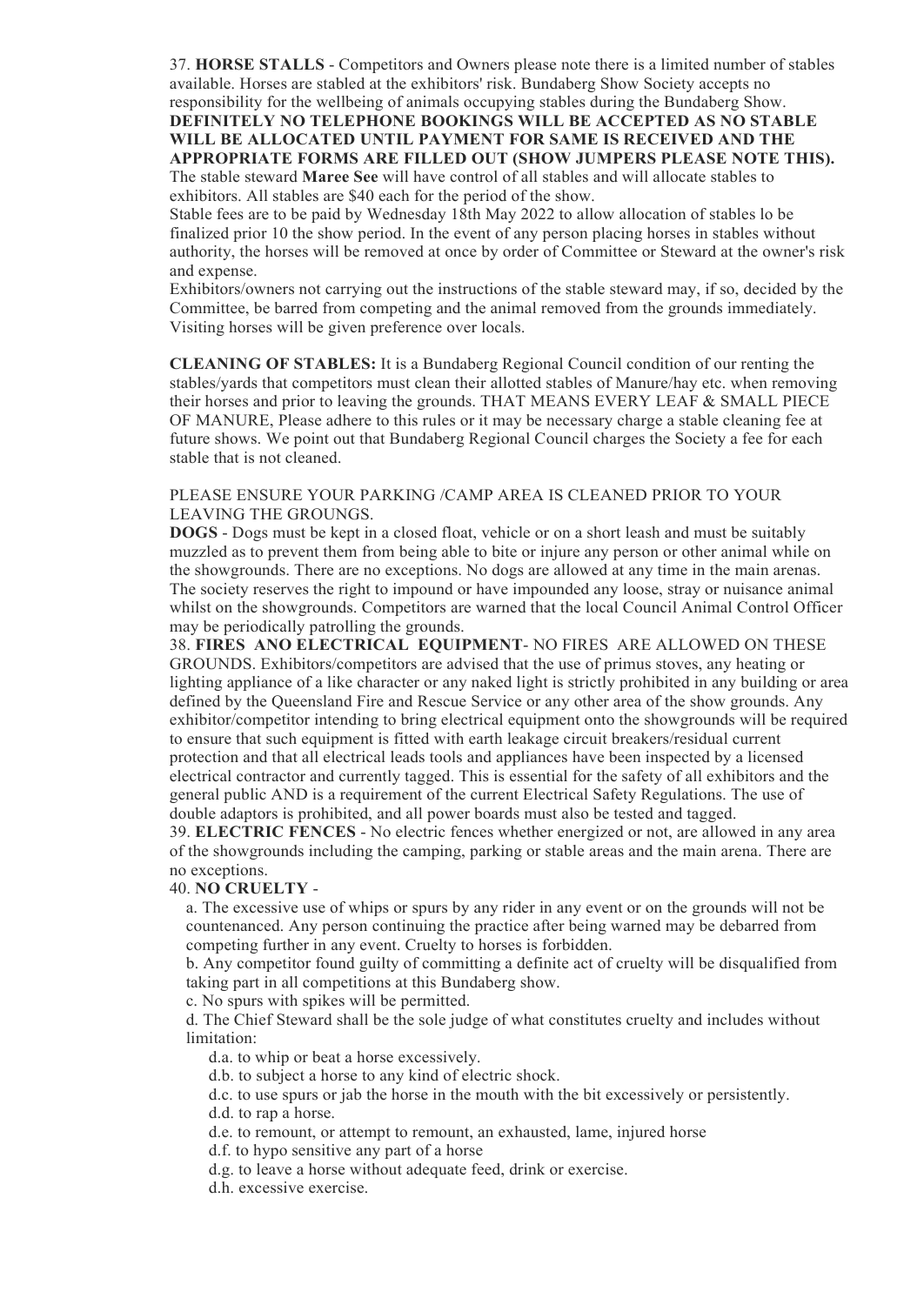37. **HORSE STALLS** - Competitors and Owners please note there is a limited number of stables available. Horses are stabled at the exhibitors' risk. Bundaberg Show Society accepts no responsibility for the wellbeing of animals occupying stables during the Bundaberg Show. **DEFINITELY NO TELEPHONE BOOKINGS WILL BE ACCEPTED AS NO STABLE WILL BE ALLOCATED UNTIL PAYMENT FOR SAME IS RECEIVED AND THE APPROPRIATE FORMS ARE FILLED OUT (SHOW JUMPERS PLEASE NOTE THIS).** The stable steward **Maree See** will have control of all stables and will allocate stables to exhibitors. All stables are \$40 each for the period of the show.

Stable fees are to be paid by Wednesday 18th May 2022 to allow allocation of stables lo be finalized prior 10 the show period. In the event of any person placing horses in stables without authority, the horses will be removed at once by order of Committee or Steward at the owner's risk and expense.

Exhibitors/owners not carrying out the instructions of the stable steward may, if so, decided by the Committee, be barred from competing and the animal removed from the grounds immediately. Visiting horses will be given preference over locals.

**CLEANING OF STABLES:** It is a Bundaberg Regional Council condition of our renting the stables/yards that competitors must clean their allotted stables of Manure/hay etc. when removing their horses and prior to leaving the grounds. THAT MEANS EVERY LEAF & SMALL PIECE OF MANURE, Please adhere to this rules or it may be necessary charge a stable cleaning fee at future shows. We point out that Bundaberg Regional Council charges the Society a fee for each stable that is not cleaned.

#### PLEASE ENSURE YOUR PARKING /CAMP AREA IS CLEANED PRIOR TO YOUR LEAVING THE GROUNGS.

**DOGS** - Dogs must be kept in a closed float, vehicle or on a short leash and must be suitably muzzled as to prevent them from being able to bite or injure any person or other animal while on the showgrounds. There are no exceptions. No dogs are allowed at any time in the main arenas. The society reserves the right to impound or have impounded any loose, stray or nuisance animal whilst on the showgrounds. Competitors are warned that the local Council Animal Control Officer may be periodically patrolling the grounds.

38. **FIRES ANO ELECTRICAL EQUIPMENT**- NO FIRES ARE ALLOWED ON THESE GROUNDS. Exhibitors/competitors are advised that the use of primus stoves, any heating or lighting appliance of a like character or any naked light is strictly prohibited in any building or area defined by the Queensland Fire and Rescue Service or any other area of the show grounds. Any exhibitor/competitor intending to bring electrical equipment onto the showgrounds will be required to ensure that such equipment is fitted with earth leakage circuit breakers/residual current protection and that all electrical leads tools and appliances have been inspected by a licensed electrical contractor and currently tagged. This is essential for the safety of all exhibitors and the general public AND is a requirement of the current Electrical Safety Regulations. The use of double adaptors is prohibited, and all power boards must also be tested and tagged.

39. **ELECTRIC FENCES** - No electric fences whether energized or not, are allowed in any area of the showgrounds including the camping, parking or stable areas and the main arena. There are no exceptions.

#### 40. **NO CRUELTY** -

a. The excessive use of whips or spurs by any rider in any event or on the grounds will not be countenanced. Any person continuing the practice after being warned may be debarred from competing further in any event. Cruelty to horses is forbidden.

b. Any competitor found guilty of committing a definite act of cruelty will be disqualified from taking part in all competitions at this Bundaberg show.

c. No spurs with spikes will be permitted.

d. The Chief Steward shall be the sole judge of what constitutes cruelty and includes without limitation:

d.a. to whip or beat a horse excessively.

d.b. to subject a horse to any kind of electric shock.

d.c. to use spurs or jab the horse in the mouth with the bit excessively or persistently.

d.d. to rap a horse.

d.e. to remount, or attempt to remount, an exhausted, lame, injured horse

d.f. to hypo sensitive any part of a horse

d.g. to leave a horse without adequate feed, drink or exercise.

d.h. excessive exercise.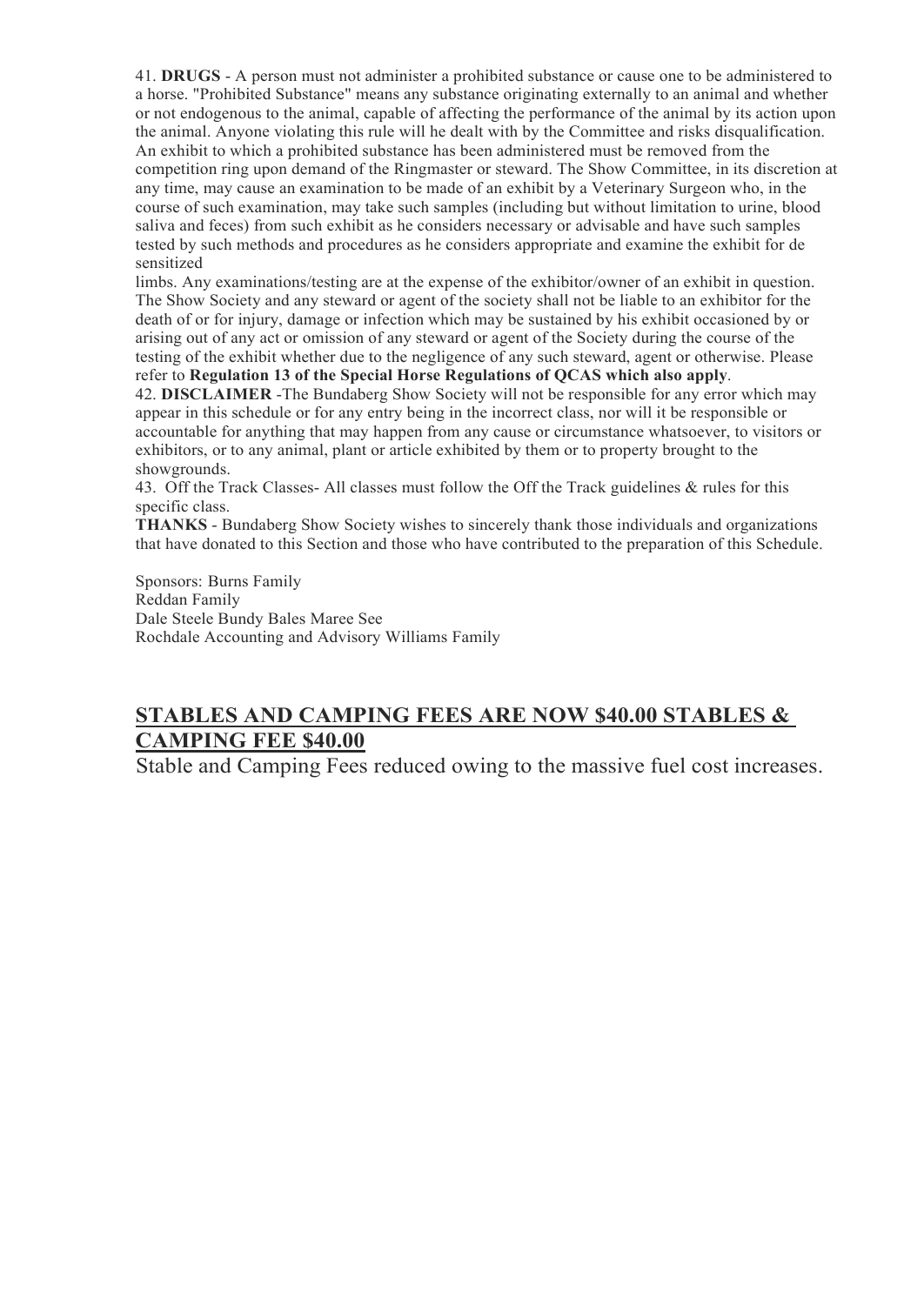41. **DRUGS** - A person must not administer a prohibited substance or cause one to be administered to a horse. "Prohibited Substance" means any substance originating externally to an animal and whether or not endogenous to the animal, capable of affecting the performance of the animal by its action upon the animal. Anyone violating this rule will he dealt with by the Committee and risks disqualification. An exhibit to which a prohibited substance has been administered must be removed from the competition ring upon demand of the Ringmaster or steward. The Show Committee, in its discretion at any time, may cause an examination to be made of an exhibit by a Veterinary Surgeon who, in the course of such examination, may take such samples (including but without limitation to urine, blood saliva and feces) from such exhibit as he considers necessary or advisable and have such samples tested by such methods and procedures as he considers appropriate and examine the exhibit for de sensitized

limbs. Any examinations/testing are at the expense of the exhibitor/owner of an exhibit in question. The Show Society and any steward or agent of the society shall not be liable to an exhibitor for the death of or for injury, damage or infection which may be sustained by his exhibit occasioned by or arising out of any act or omission of any steward or agent of the Society during the course of the testing of the exhibit whether due to the negligence of any such steward, agent or otherwise. Please refer to **Regulation 13 of the Special Horse Regulations of QCAS which also apply**.

42. **DISCLAIMER** -The Bundaberg Show Society will not be responsible for any error which may appear in this schedule or for any entry being in the incorrect class, nor will it be responsible or accountable for anything that may happen from any cause or circumstance whatsoever, to visitors or exhibitors, or to any animal, plant or article exhibited by them or to property brought to the showgrounds.

43. Off the Track Classes- All classes must follow the Off the Track guidelines & rules for this specific class.

**THANKS** - Bundaberg Show Society wishes to sincerely thank those individuals and organizations that have donated to this Section and those who have contributed to the preparation of this Schedule.

Sponsors: Burns Family Reddan Family Dale Steele Bundy Bales Maree See Rochdale Accounting and Advisory Williams Family

## **STABLES AND CAMPING FEES ARE NOW \$40.00 STABLES & CAMPING FEE \$40.00**

Stable and Camping Fees reduced owing to the massive fuel cost increases.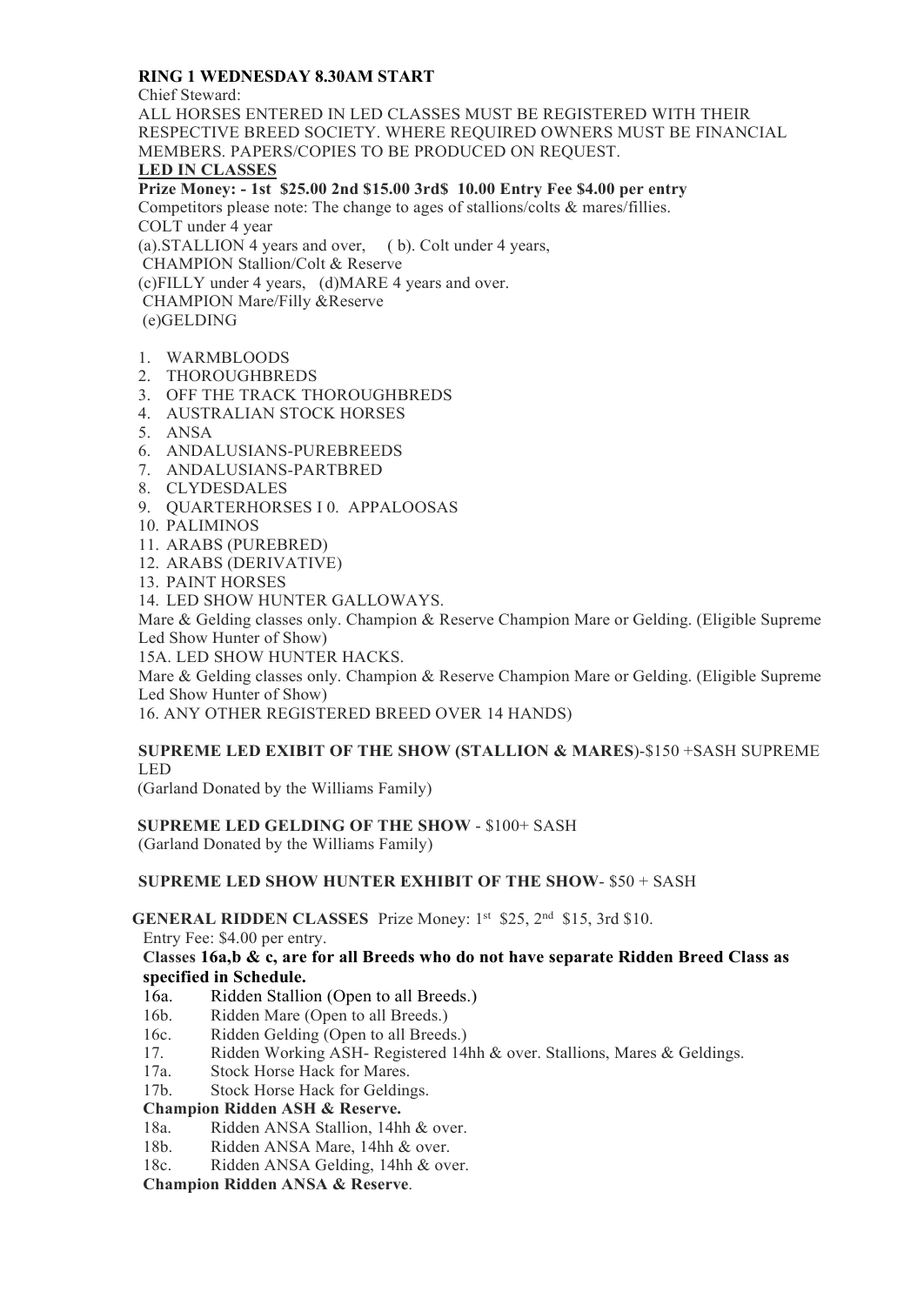### **RING 1 WEDNESDAY 8.30AM START**

Chief Steward:

ALL HORSES ENTERED IN LED CLASSES MUST BE REGISTERED WITH THEIR RESPECTIVE BREED SOCIETY. WHERE REQUIRED OWNERS MUST BE FINANCIAL MEMBERS. PAPERS/COPIES TO BE PRODUCED ON REQUEST. **LED IN CLASSES Prize Money: - 1st \$25.00 2nd \$15.00 3rd\$ 10.00 Entry Fee \$4.00 per entry** Competitors please note: The change to ages of stallions/colts & mares/fillies. COLT under 4 year (a).STALLION 4 years and over, ( b). Colt under 4 years,

CHAMPION Stallion/Colt & Reserve (c)FILLY under 4 years, (d)MARE 4 years and over. CHAMPION Mare/Filly &Reserve (e)GELDING

- 1. WARMBLOODS
- 2. THOROUGHBREDS
- 3. OFF THE TRACK THOROUGHBREDS
- 4. AUSTRALIAN STOCK HORSES
- 5. ANSA
- 6. ANDALUSIANS-PUREBREEDS
- 7. ANDALUSIANS-PARTBRED
- 8. CLYDESDALES
- 9. QUARTERHORSES I 0. APPALOOSAS
- 10. PALIMINOS
- 11. ARABS (PUREBRED)
- 12. ARABS (DERIVATIVE)
- 13. PAINT HORSES

14. LED SHOW HUNTER GALLOWAYS.

Mare & Gelding classes only. Champion & Reserve Champion Mare or Gelding. (Eligible Supreme Led Show Hunter of Show)

15A. LED SHOW HUNTER HACKS.

Mare & Gelding classes only. Champion & Reserve Champion Mare or Gelding. (Eligible Supreme Led Show Hunter of Show)

16. ANY OTHER REGISTERED BREED OVER 14 HANDS)

#### **SUPREME LED EXIBIT OF THE SHOW (STALLION & MARES**)-\$150 +SASH SUPREME LED

(Garland Donated by the Williams Family)

#### **SUPREME LED GELDING OF THE SHOW** - \$100+ SASH

(Garland Donated by the Williams Family)

**SUPREME LED SHOW HUNTER EXHIBIT OF THE SHOW**- \$50 + SASH

**GENERAL RIDDEN CLASSES** Prize Money: 1st \$25, 2<sup>nd</sup> \$15, 3rd \$10.

Entry Fee: \$4.00 per entry.

#### **Classes 16a,b & c, are for all Breeds who do not have separate Ridden Breed Class as specified in Schedule.**

- 16a. Ridden Stallion (Open to all Breeds.)
- 16b. Ridden Mare (Open to all Breeds.)
- 16c. Ridden Gelding (Open to all Breeds.)
- 17. Ridden Working ASH- Registered 14hh & over. Stallions, Mares & Geldings.
- 17a. Stock Horse Hack for Mares.
- 17b. Stock Horse Hack for Geldings.

#### **Champion Ridden ASH & Reserve.**

- 18a. Ridden ANSA Stallion, 14hh & over.<br>18b. Ridden ANSA Mare. 14hh & over.
- Ridden ANSA Mare, 14hh & over.
- 18c. Ridden ANSA Gelding, 14hh & over.

**Champion Ridden ANSA & Reserve**.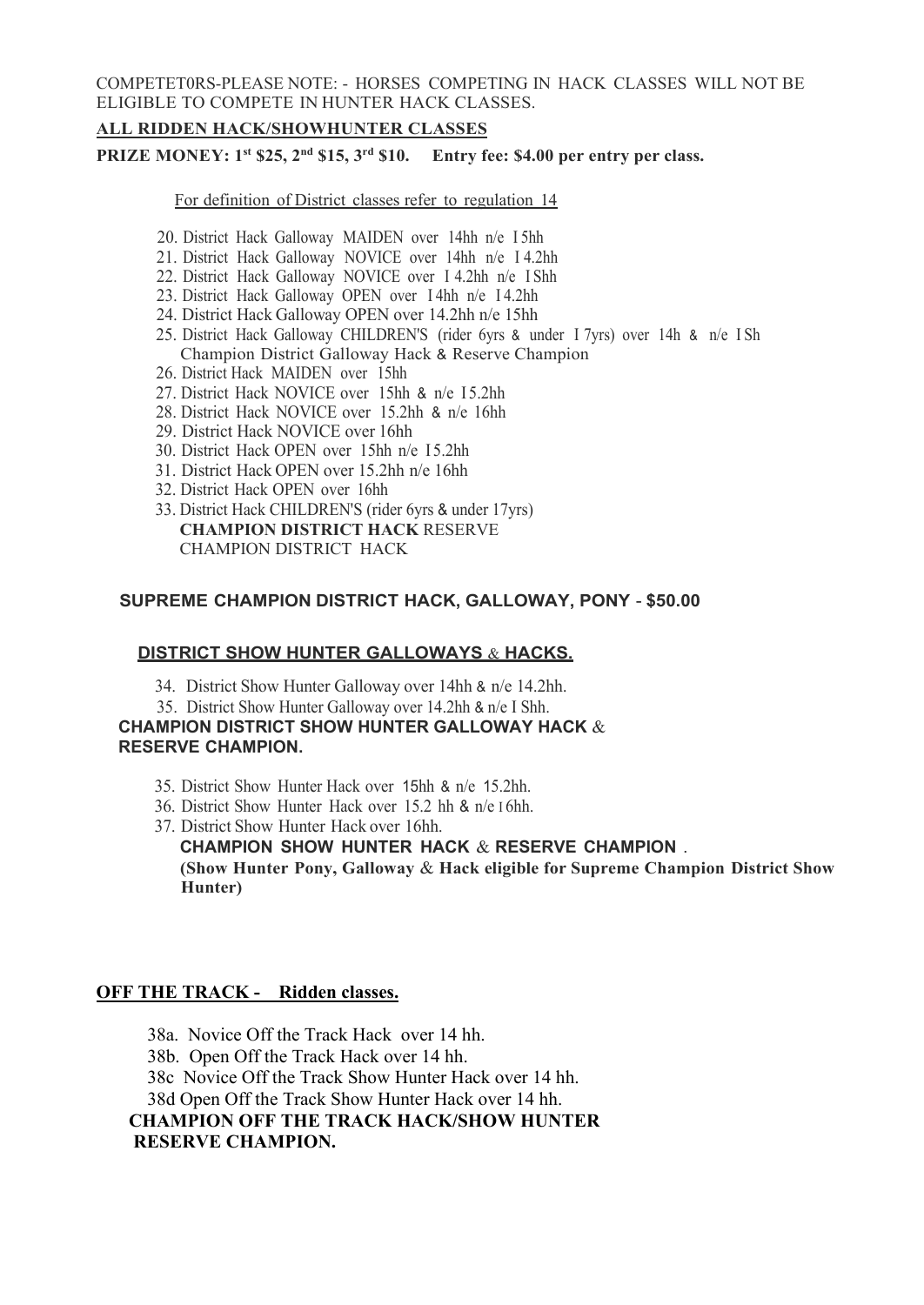COMPETET0RS-PLEASE NOTE: - HORSES COMPETING IN HACK CLASSES WILL NOT BE ELIGIBLE TO COMPETE IN HUNTER HACK CLASSES.

#### **ALL RIDDEN HACK/SHOWHUNTER CLASSES**

**PRIZE MONEY: 1st \$25, 2nd \$15, 3rd \$10. Entry fee: \$4.00 per entry per class.**

For definition of District classes refer to regulation 14

- 20. District Hack Galloway MAIDEN over 14hh n/e I 5hh
- 21. District Hack Galloway NOVICE over 14hh n/e I 4.2hh
- 22. District Hack Galloway NOVICE over I 4.2hh n/e I Shh
- 23. District Hack Galloway OPEN over I 4hh n/e I 4.2hh
- 24. District Hack Galloway OPEN over 14.2hh n/e 15hh
- 25. District Hack Galloway CHILDREN'S (rider 6yrs & under I 7yrs) over 14h & n/e I Sh Champion District Galloway Hack & Reserve Champion
- 26. District Hack MAIDEN over 15hh
- 27. District Hack NOVICE over 15hh & n/e 15.2hh
- 28. District Hack NOVICE over 15.2hh & n/e 16hh
- 29. District Hack NOVICE over 16hh
- 30. District Hack OPEN over 15hh n/e 15.2hh
- 31. District Hack OPEN over 15.2hh n/e 16hh
- 32. District Hack OPEN over 16hh
- 33. District Hack CHILDREN'S (rider 6yrs & under 17yrs) **CHAMPION DISTRICT HACK** RESERVE CHAMPION DISTRICT HACK

#### **SUPREME CHAMPION DISTRICT HACK, GALLOWAY, PONY** - **\$50.00**

#### **DISTRICT SHOW HUNTER GALLOWAYS** & **HACKS.**

- 34. District Show Hunter Galloway over 14hh & n/e 14.2hh.
- 35. District Show Hunter Galloway over 14.2hh & n/e I Shh.

#### **CHAMPION DISTRICT SHOW HUNTER GALLOWAY HACK** & **RESERVE CHAMPION.**

- 35. District Show Hunter Hack over 15hh & n/e 15.2hh.
- 36. District Show Hunter Hack over 15.2 hh & n/e I 6hh.
- 37. District Show Hunter Hack over 16hh.

**CHAMPION SHOW HUNTER HACK** & **RESERVE CHAMPION** . **(Show Hunter Pony, Galloway** & **Hack eligible for Supreme Champion District Show Hunter)**

#### **OFF THE TRACK - Ridden classes.**

38a. Novice Off the Track Hack over 14 hh. 38b. Open Off the Track Hack over 14 hh. 38c Novice Off the Track Show Hunter Hack over 14 hh. 38d Open Off the Track Show Hunter Hack over 14 hh. **CHAMPION OFF THE TRACK HACK/SHOW HUNTER RESERVE CHAMPION.**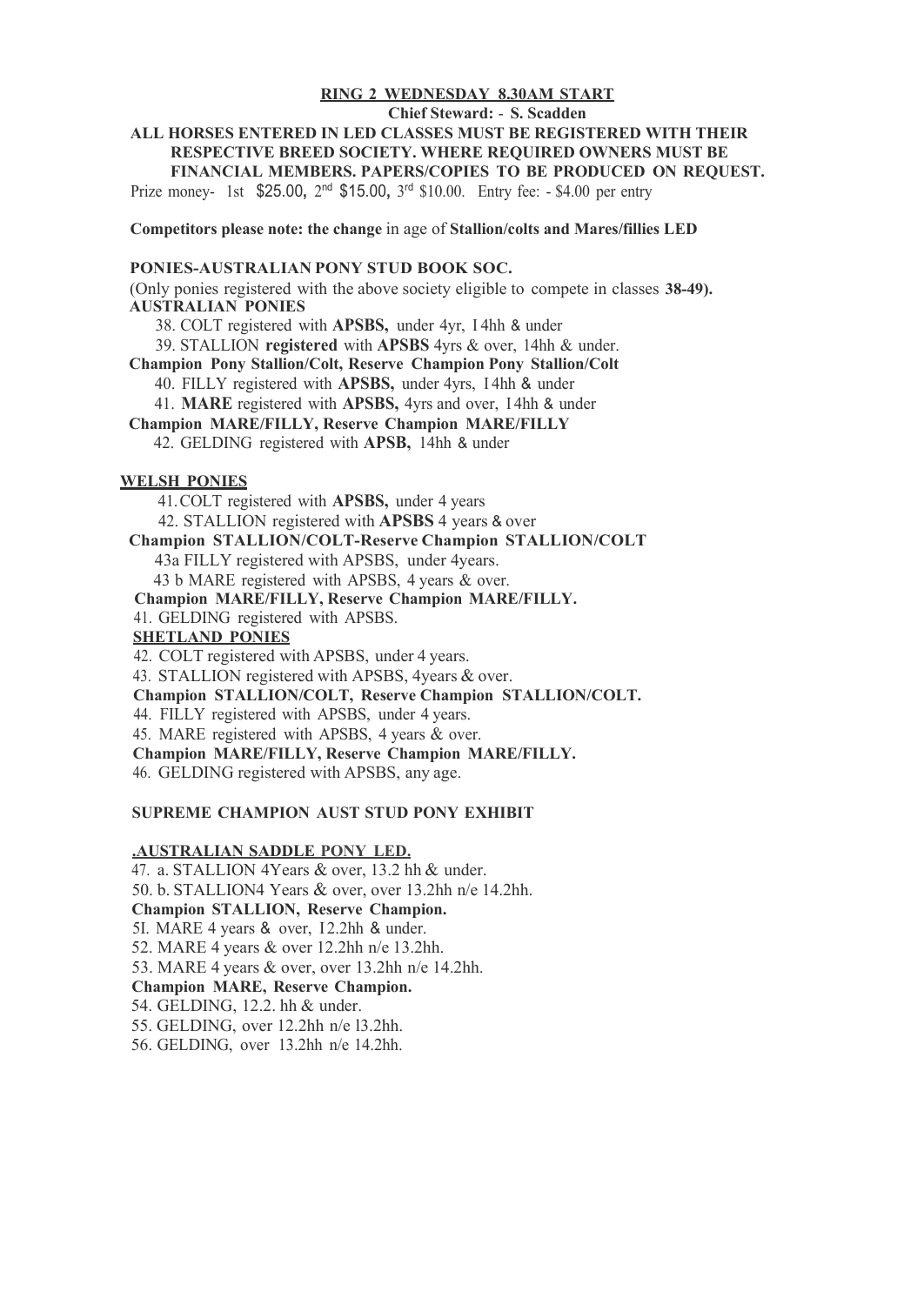#### **RING 2 WEDNESDAY 8.30AM START**

#### **Chief Steward:** - **S. Scadden**

#### **ALL HORSES ENTERED IN LED CLASSES MUST BE REGISTERED WITH THEIR RESPECTIVE BREED SOCIETY. WHERE REQUIRED OWNERS MUST BE FINANCIAL MEMBERS. PAPERS/COPIES TO BE PRODUCED ON REQUEST.**

Prize money- 1st \$25.00**,** 2nd \$15.00**,** 3rd \$10.00. Entry fee: - \$4.00 per entry

**Competitors please note: the change** in age of **Stallion/colts and Mares/fillies LED**

#### **PONIES-AUSTRALIAN PONY STUD BOOK SOC.**

(Only ponies registered with the above society eligible to compete in classes **38-49). AUSTRALIAN PONIES**

38. COLT registered with **APSBS,** under 4yr, I 4hh & under

39. STALLION **registered** with **APSBS** 4yrs & over, 14hh & under.

**Champion Pony Stallion/Colt, Reserve Champion Pony Stallion/Colt**

40. FILLY registered with **APSBS,** under 4yrs, I 4hh & under

41. **MARE** registered with **APSBS,** 4yrs and over, I 4hh & under

**Champion MARE/FILLY, Reserve Champion MARE/FILLY**

42. GELDING registered with **APSB,** 14hh & under

#### **WELSH PONIES**

41.COLT registered with **APSBS,** under 4 years 42. STALLION registered with **APSBS** 4 years & over **Champion STALLION/COLT-Reserve Champion STALLION/COLT** 43a FILLY registered with APSBS, under 4years. 43 b MARE registered with APSBS, 4 years & over. **Champion MARE/FILLY, Reserve Champion MARE/FILLY.** 41. GELDING registered with APSBS. **SHETLAND PONIES** 42. COLT registered with APSBS, under 4 years. 43. STALLION registered with APSBS, 4years & over. **Champion STALLION/COLT, Reserve Champion STALLION/COLT.** 44. FILLY registered with APSBS, under 4 years. 45. MARE registered with APSBS, 4 years & over. **Champion MARE/FILLY, Reserve Champion MARE/FILLY.** 46. GELDING registered with APSBS, any age.

#### **SUPREME CHAMPION AUST STUD PONY EXHIBIT**

#### **.AUSTRALIAN SADDLE PONY LED.**

47. a. STALLION 4Years & over, 13.2 hh & under. 50. b. STALLION4 Years & over, over 13.2hh n/e 14.2hh. **Champion STALLION, Reserve Champion.** 5I. MARE 4 years & over, I2.2hh & under. 52. MARE 4 years & over 12.2hh n/e 13.2hh. 53. MARE 4 years & over, over 13.2hh n/e 14.2hh. **Champion MARE, Reserve Champion.** 54. GELDING, 12.2. hh & under. 55. GELDING, over 12.2hh n/e l3.2hh. 56. GELDING, over 13.2hh n/e 14.2hh.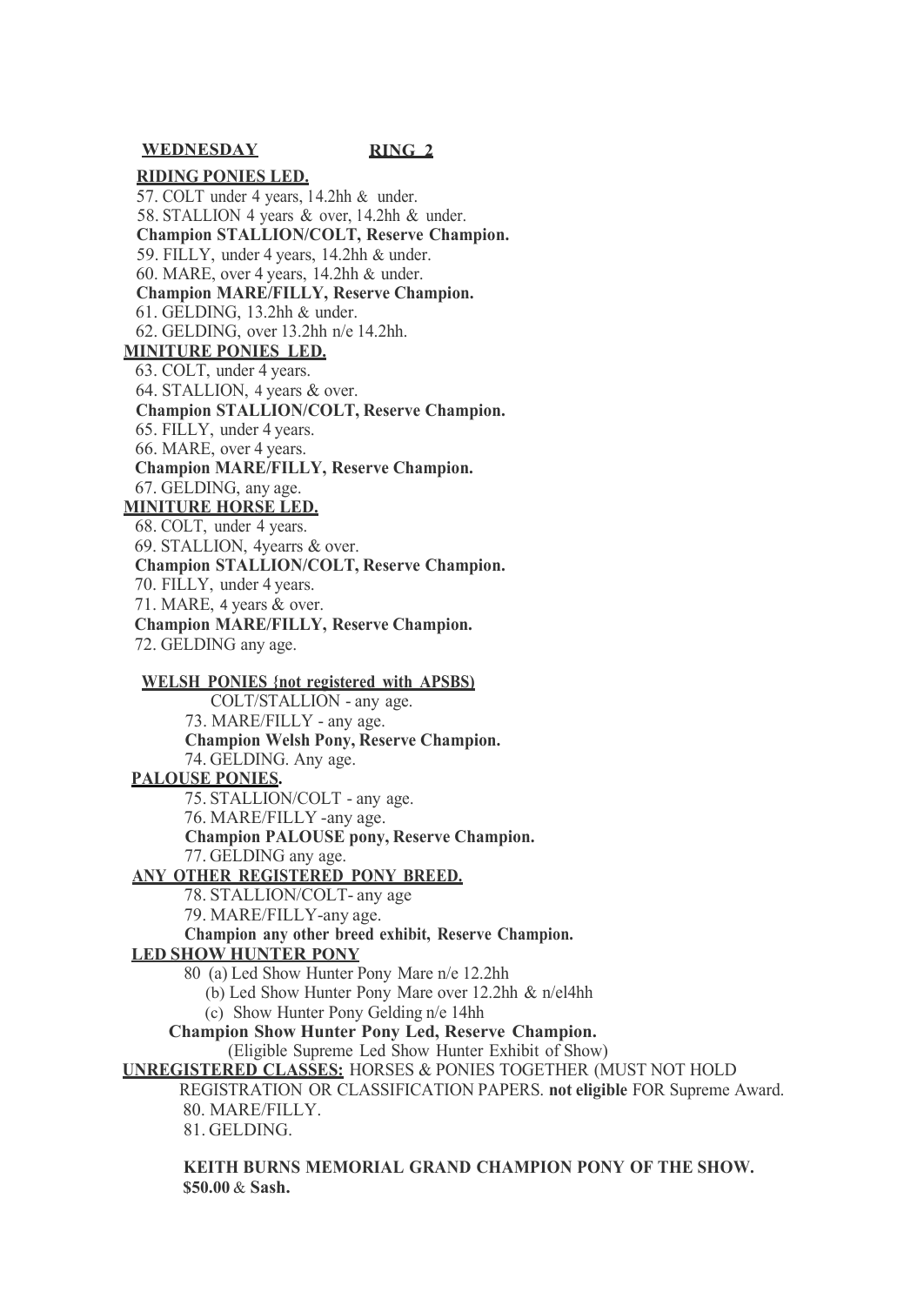**WEDNESDAY RING 2**

#### **RIDING PONIES LED.** 57. COLT under 4 years, l 4.2hh & under. 58. STALLION 4 years & over, l 4.2hh & under. **Champion STALLION/COLT, Reserve Champion.** 59. FILLY, under 4 years, 14.2hh & under. 60. MARE, over 4 years, 14.2hh & under. **Champion MARE/FILLY, Reserve Champion.** 61. GELDING, 13.2hh & under. 62. GELDING, over 13.2hh n/e 14.2hh. **MINITURE PONIES LED.** 63. COLT, under 4 years. 64. STALLION, 4 years & over. **Champion STALLION/COLT, Reserve Champion.** 65. FILLY, under 4 years. 66. MARE, over 4 years. **Champion MARE/FILLY, Reserve Champion.** 67. GELDING, any age. **MINITURE HORSE LED.** 68. COLT, under 4 years. 69. STALLION, 4yearrs & over. **Champion STALLION/COLT, Reserve Champion.** 70. FILLY, under 4 years. 71. MARE, 4 years & over.

**Champion MARE/FILLY, Reserve Champion.** 72. GELDING any age.

#### **WELSH PONIES {not registered with APSBS)**

COLT/STALLION - any age. 73. MARE/FILLY - any age. **Champion Welsh Pony, Reserve Champion.** 74. GELDING. Any age.

#### **PALOUSE PONIES.**

75. STALLION/COLT - any age.

76. MARE/FILLY -any age. **Champion PALOUSE pony, Reserve Champion.** 77. GELDING any age.

#### **ANY OTHER REGISTERED PONY BREED.**

78. STALLION/COLT- any age

79. MARE/FILLY-any age.

**Champion any other breed exhibit, Reserve Champion.**

#### **LED SHOW HUNTER PONY**

80 (a) Led Show Hunter Pony Mare n/e 12.2hh

(b) Led Show Hunter Pony Mare over 12.2hh & n/el4hh

(c) Show Hunter Pony Gelding n/e 14hh

**Champion Show Hunter Pony Led, Reserve Champion.**

(Eligible Supreme Led Show Hunter Exhibit of Show)

**UNREGISTERED CLASSES:** HORSES & PONIES TOGETHER (MUST NOT HOLD

#### REGISTRATION OR CLASSIFICATION PAPERS. **not eligible** FOR Supreme Award. 80. MARE/FILLY.

81. GELDING.

#### **KEITH BURNS MEMORIAL GRAND CHAMPION PONY OF THE SHOW. \$50.00** & **Sash.**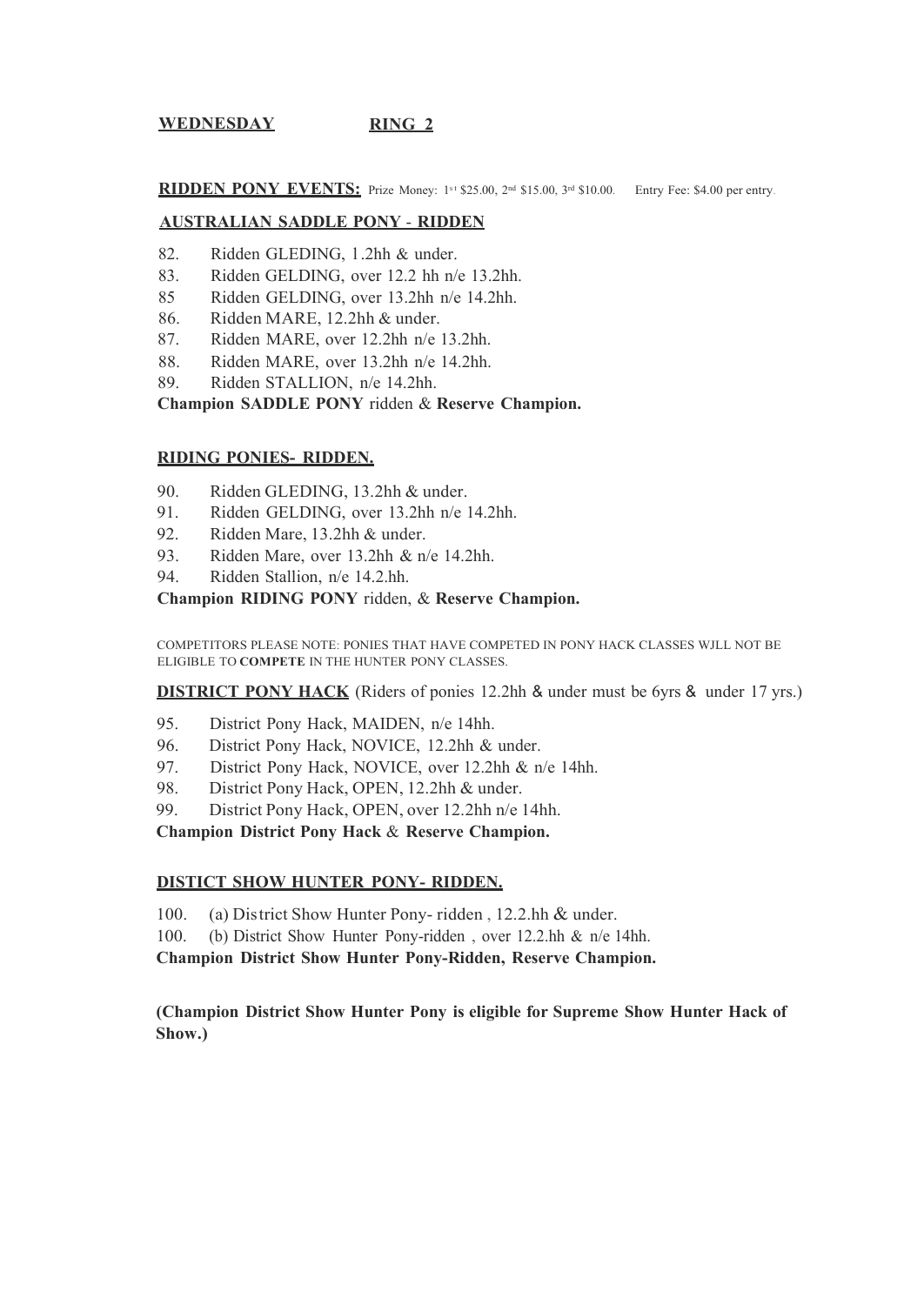### **WEDNESDAY RING 2**

**RIDDEN PONY EVENTS:** Prize Money: 1st \$25.00, 2nd \$15.00, 3rd \$10.00. Entry Fee: \$4.00 per entry.

#### **AUSTRALIAN SADDLE PONY** - **RIDDEN**

- 82. Ridden GLEDING, l .2hh & under.
- 83. Ridden GELDING, over 12.2 hh n/e 13.2hh.
- 85 Ridden GELDING, over 13.2hh n/e 14.2hh.
- 86. Ridden MARE, 12.2hh & under.
- 87. Ridden MARE, over 12.2hh n/e 13.2hh.
- 88. Ridden MARE, over 13.2hh n/e 14.2hh.
- 89. Ridden STALLION, n/e 14.2hh.

**Champion SADDLE PONY** ridden & **Reserve Champion.**

#### **RIDING PONIES- RIDDEN.**

- 90. Ridden GLEDING, 13.2hh & under.
- 91. Ridden GELDING, over 13.2hh n/e 14.2hh.
- 92. Ridden Mare, 13.2hh & under.
- 93. Ridden Mare, over 13.2hh & n/e 14.2hh.
- 94. Ridden Stallion, n/e 14.2.hh.

#### **Champion RIDING PONY** ridden, & **Reserve Champion.**

COMPETITORS PLEASE NOTE: PONIES THAT HAVE COMPETED IN PONY HACK CLASSES WJLL NOT BE ELIGIBLE TO **COMPETE** IN THE HUNTER PONY CLASSES.

**DISTRICT PONY HACK** (Riders of ponies 12.2hh & under must be 6yrs & under 17 yrs.)

- 95. District Pony Hack, MAIDEN, n/e 14hh.
- 96. District Pony Hack, NOVICE, 12.2hh & under.
- 97. District Pony Hack, NOVICE, over 12.2hh & n/e 14hh.
- 98. District Pony Hack, OPEN, 12.2hh & under.
- 99. District Pony Hack, OPEN, over 12.2hh n/e 14hh.

**Champion District Pony Hack** & **Reserve Champion.**

#### **DISTICT SHOW HUNTER PONY- RIDDEN.**

- 100. (a) District Show Hunter Pony-ridden, 12.2.hh & under.
- 100. (b) District Show Hunter Pony-ridden , over 12.2.hh & n/e 14hh.

**Champion District Show Hunter Pony-Ridden, Reserve Champion.**

**(Champion District Show Hunter Pony is eligible for Supreme Show Hunter Hack of Show.)**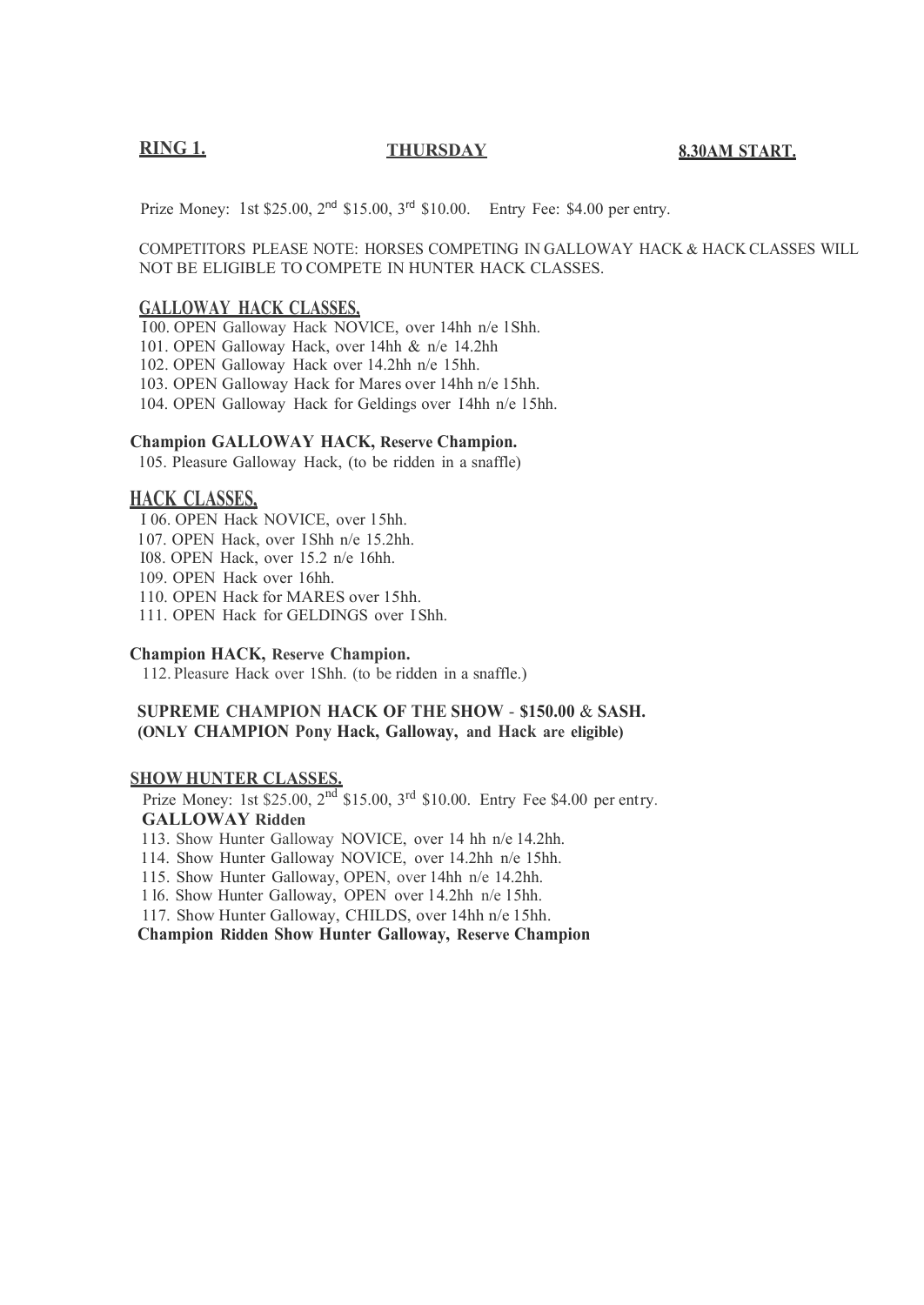#### **RING 1.** THURSDAY 8.30AM START.

Prize Money: 1st \$25.00, 2<sup>nd</sup> \$15.00, 3<sup>rd</sup> \$10.00. Entry Fee: \$4.00 per entry.

COMPETITORS PLEASE NOTE: HORSES COMPETING IN GALLOWAY HACK & HACK CLASSES WILL NOT BE ELIGIBLE TO COMPETE IN HUNTER HACK CLASSES.

#### **GALLOWAY HACK CLASSES,**

I 00. OPEN Galloway Hack NOVlCE, over 14hh n/e l Shh.

101. OPEN Galloway Hack, over 14hh & n/e 14.2hh

102. OPEN Galloway Hack over 14.2hh n/e 15hh.

103. OPEN Galloway Hack for Mares over 14hh n/e 15hh.

104. OPEN Galloway Hack for Geldings over I 4hh n/e l 5hh.

#### **Champion GALLOWAY HACK, Reserve Champion.**

l 05. Pleasure Galloway Hack, (to be ridden in a snaffle)

#### **HACK CLASSES,**

I 06. OPEN Hack NOVICE, over l 5hh. l 07. OPEN Hack, over I Shh n/e 15.2hh. I08. OPEN Hack, over 15.2 n/e 16hh. 109. OPEN Hack over 16hh. 110. OPEN Hack for MARES over 15hh. 111. OPEN Hack for GELDINGS over I Shh.

#### **Champion HACK, Reserve Champion.**

112. Pleasure Hack over 1Shh. (to be ridden in a snaffle.)

#### **SUPREME CHAMPION HACK OF THE SHOW** - **\$150.00** & **SASH. (ONLY CHAMPION Pony Hack, Galloway, and Hack are eligible)**

### **SHOW HUNTER CLASSES.**

Prize Money: 1st \$25.00,  $2^{nd}$  \$15.00,  $3^{rd}$  \$10.00. Entry Fee \$4.00 per entry. **GALLOWAY Ridden**

113. Show Hunter Galloway NOVICE, over 14 hh n/e 14.2hh.

114. Show Hunter Galloway NOVICE, over 14.2hh n/e 15hh.

115. Show Hunter Galloway, OPEN, over 14hh n/e 14.2hh.

1 l6. Show Hunter Galloway, OPEN over l 4.2hh n/e l 5hh.

117. Show Hunter Galloway, CHILDS, over 14hh n/e 15hh.

**Champion Ridden Show Hunter Galloway, Reserve Champion**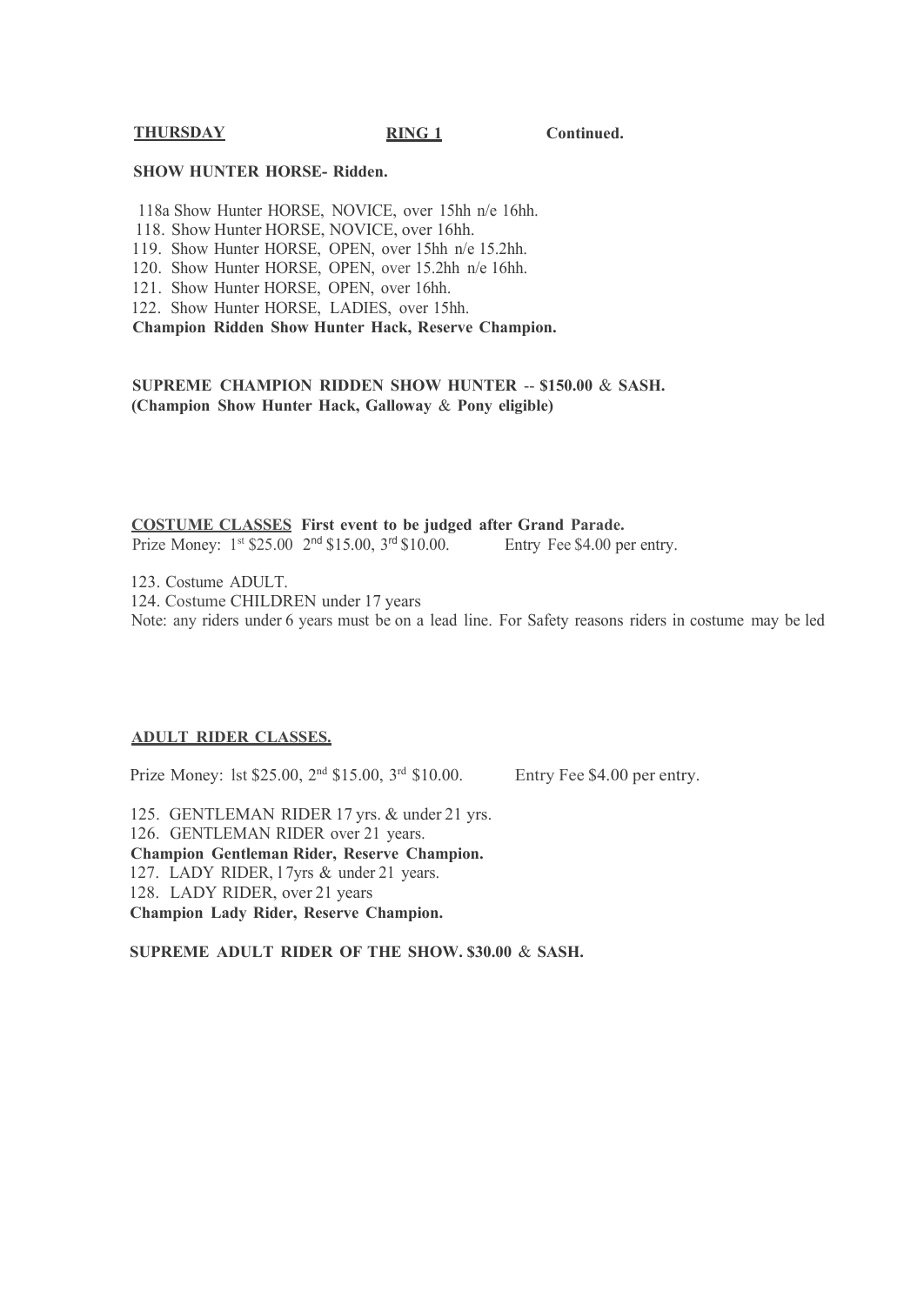#### **THURSDAY RING 1 Continued.**

#### **SHOW HUNTER HORSE- Ridden.**

118a Show Hunter HORSE, NOVICE, over 15hh n/e 16hh. 118. Show Hunter HORSE, NOVICE, over 16hh. 119. Show Hunter HORSE, OPEN, over 15hh n/e 15.2hh. 120. Show Hunter HORSE, OPEN, over 15.2hh n/e 16hh. 121. Show Hunter HORSE, OPEN, over 16hh. 122. Show Hunter HORSE, LADIES, over 15hh. **Champion Ridden Show Hunter Hack, Reserve Champion.**

**SUPREME CHAMPION RIDDEN SHOW HUNTER** -- **\$150.00** & **SASH. (Champion Show Hunter Hack, Galloway** & **Pony eligible)**

**COSTUME CLASSES First event to be judged after Grand Parade.**

Prize Money: 1<sup>st</sup> \$25.00 2<sup>nd</sup> \$15.00, 3<sup>rd</sup> \$10.00. Entry Fee \$4.00 per entry.

123. Costume ADULT. 124. Costume CHILDREN under 17 years Note: any riders under 6 years must be on a lead line. For Safety reasons riders in costume may be led

#### **ADULT RIDER CLASSES.**

Prize Money: lst \$25.00, 2nd \$15.00, 3rd \$10.00.

Entry Fee \$4.00 per entry.

125. GENTLEMAN RIDER 17 yrs. & under 21 yrs. 126. GENTLEMAN RIDER over 21 years. **Champion Gentleman Rider, Reserve Champion.** 127. LADY RIDER, l 7yrs & under 21 years. 128. LADY RIDER, over 21 years **Champion Lady Rider, Reserve Champion.**

**SUPREME ADULT RIDER OF THE SHOW. \$30.00** & **SASH.**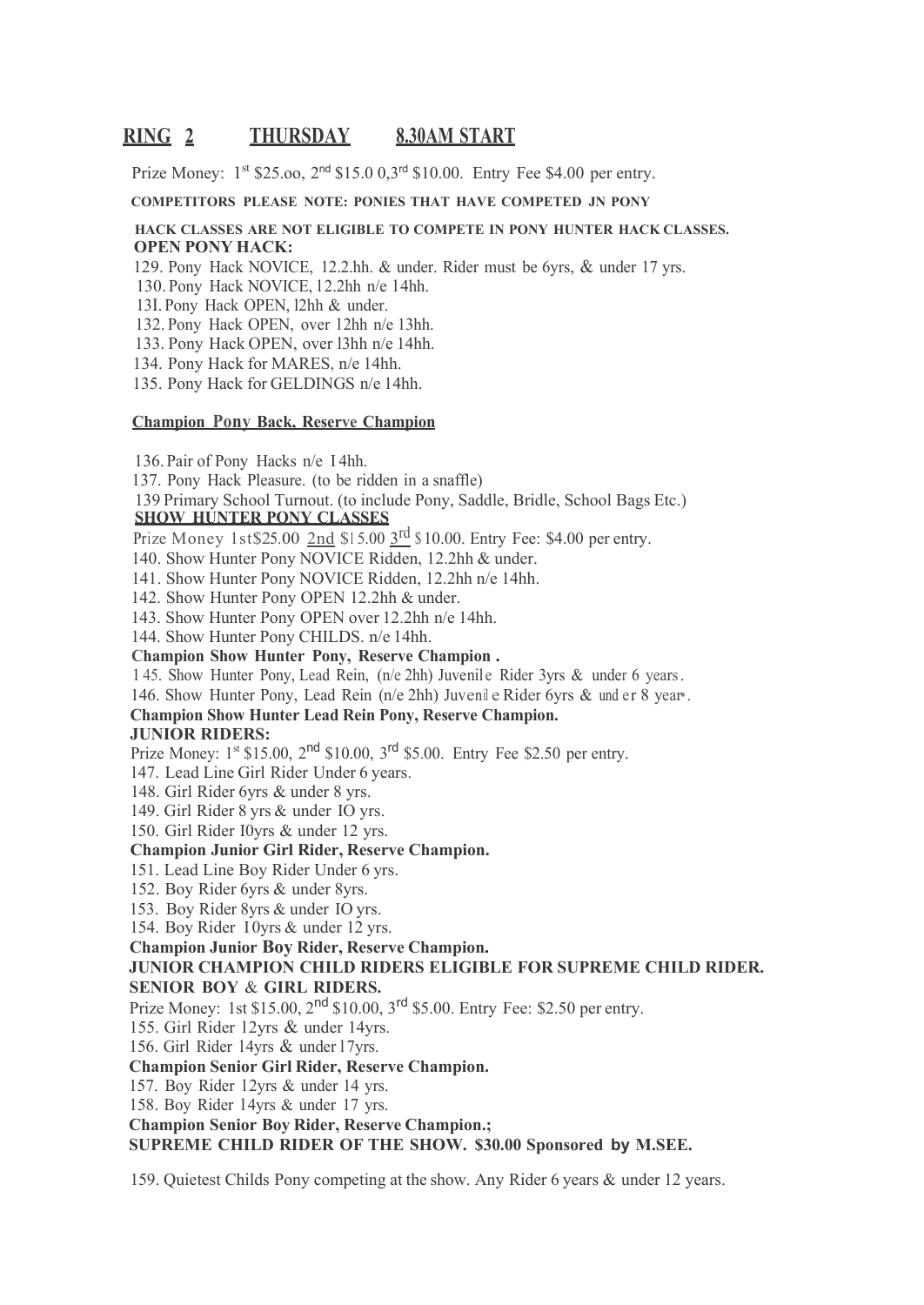## **RING 2 THURSDAY 8.30AM START**

Prize Money:  $1^{st}$  \$25.00,  $2^{nd}$  \$15.0 0,3<sup>rd</sup> \$10.00. Entry Fee \$4.00 per entry.

#### **COMPETITORS PLEASE NOTE: PONIES THAT HAVE COMPETED JN PONY**

#### **HACK CLASSES ARE NOT ELIGIBLE TO COMPETE IN PONY HUNTER HACK CLASSES. OPEN PONY HACK:**

129. Pony Hack NOVICE, 12.2.hh. & under. Rider must be 6yrs, & under 17 yrs.

130. Pony Hack NOVICE, l 2.2hh n/e l 4hh.

13I. Pony Hack OPEN, l2hh & under.

132. Pony Hack OPEN, over 12hh n/e 13hh.

133. Pony Hack OPEN, over l3hh n/e 14hh.

134. Pony Hack for MARES, n/e 14hh.

135. Pony Hack for GELDINGS n/e 14hh.

#### **Champion Pony Back, Reserve Champion**

136. Pair of Pony Hacks n/e I 4hh.

137. Pony Hack Pleasure. (to be ridden in a snaffle)

139 Primary School Turnout. (to include Pony, Saddle, Bridle, School Bags Etc.) **SHOW HUNTER PONY CLASSES**

Prize Money 1st \$25.00 2nd \$15.00  $3<sup>rd</sup>$  \$ 10.00. Entry Fee: \$4.00 per entry.

140. Show Hunter Pony NOVICE Ridden, 12.2hh & under.

141. Show Hunter Pony NOVICE Ridden, 12.2hh n/e 14hh.

142. Show Hunter Pony OPEN 12.2hh & under.

143. Show Hunter Pony OPEN over 12.2hh n/e 14hh.

144. Show Hunter Pony CHILDS. n/e 14hh.

**Champion Show Hunter Pony, Reserve Champion .**

1 45. Show Hunter Pony, Lead Rein, (n/e 2hh) Juvenile Rider 3yrs & under 6 years.

146. Show Hunter Pony, Lead Rein (n/e 2hh) Juvenil e Rider 6yrs & und er 8 year•.

**Champion Show Hunter Lead Rein Pony, Reserve Champion.**

#### **JUNIOR RIDERS:**

Prize Money: 1<sup>st</sup> \$15.00, 2<sup>nd</sup> \$10.00, 3<sup>rd</sup> \$5.00. Entry Fee \$2.50 per entry.

147. Lead Line Girl Rider Under 6 years.

148. Girl Rider 6yrs & under 8 yrs.

149. Girl Rider 8 yrs & under IO yrs.

150. Girl Rider I0yrs & under 12 yrs.

#### **Champion Junior Girl Rider, Reserve Champion.**

151. Lead Line Boy Rider Under 6 yrs.

152. Boy Rider 6yrs & under 8yrs.

153. Boy Rider 8yrs & under IO yrs.

154. Boy Rider I 0yrs & under 12 yrs.

**Champion Junior Boy Rider, Reserve Champion.**

#### **JUNIOR CHAMPION CHILD RIDERS ELIGIBLE FOR SUPREME CHILD RIDER. SENIOR BOY** & **GIRL RIDERS.**

Prize Money: 1st \$15.00,  $2^{nd}$  \$10.00,  $3^{rd}$  \$5.00. Entry Fee: \$2.50 per entry.

155. Girl Rider l 2yrs & under 14yrs.

156. Girl Rider l 4yrs & under l 7yrs.

#### **Champion Senior Girl Rider, Reserve Champion.**

157. Boy Rider 12yrs & under 14 yrs.

158. Boy Rider l 4yrs & under 17 yrs.

**Champion Senior Boy Rider, Reserve Champion.;**

**SUPREME CHILD RIDER OF THE SHOW. \$30.00 Sponsored by M.SEE.**

159. Quietest Childs Pony competing at the show. Any Rider 6 years & under 12 years.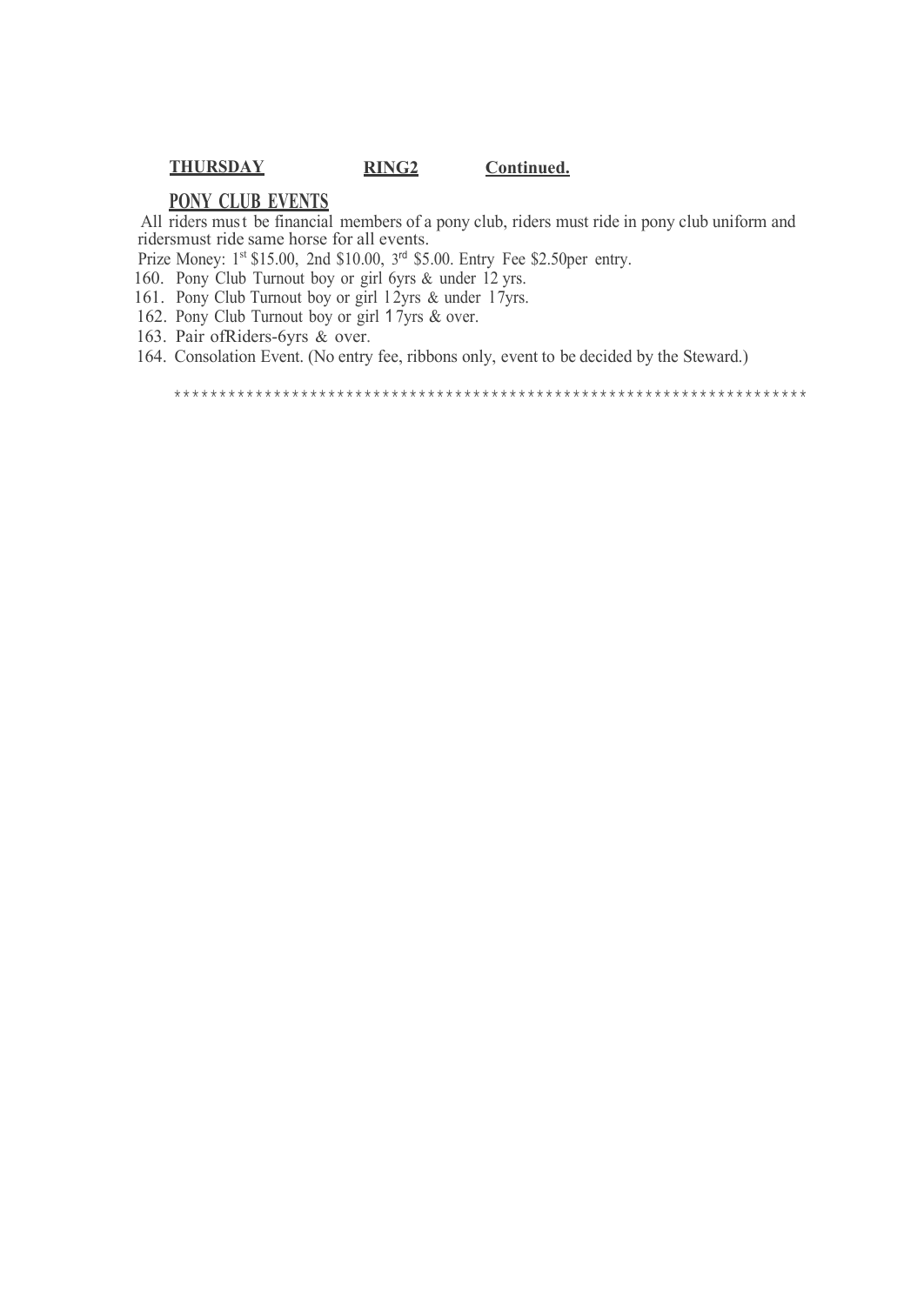### **THURSDAY RING2 Continued.**

#### **PONY CLUB EVENTS**

All riders must be financial members of a pony club, riders must ride in pony club uniform and ridersmust ride same horse for all events.

Prize Money: 1<sup>st</sup> \$15.00, 2nd \$10.00, 3<sup>rd</sup> \$5.00. Entry Fee \$2.50per entry.

160. Pony Club Turnout boy or girl 6yrs & under 12 yrs.

161. Pony Club Turnout boy or girl 12yrs & under 17yrs.

162. Pony Club Turnout boy or girl 1 7yrs & over.

163. Pair ofRiders-6yrs & over.

164. Consolation Event. (No entry fee, ribbons only, event to be decided by the Steward.)

\*\*\*\*\*\*\*\*\*\*\*\*\*\*\*\*\*\*\*\*\*\*\*\*\*\*\*\*\*\*\*\*\*\*\*\*\*\*\*\*\*\*\*\*\*\*\*\*\*\*\*\*\*\*\*\*\*\*\*\*\*\*\*\*\*\*\*\*\*\*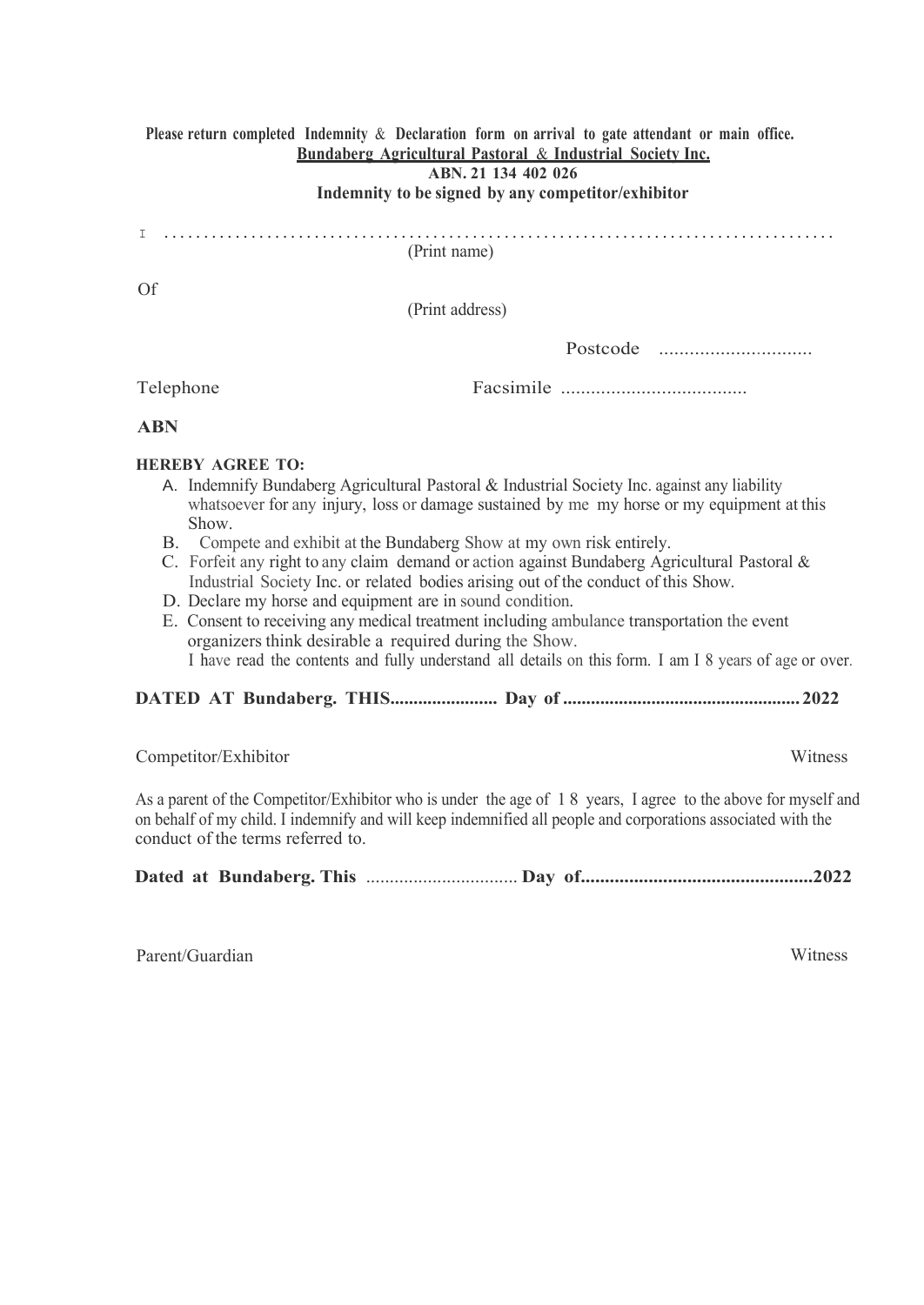#### **Please return completed Indemnity** & **Declaration form on arrival to gate attendant or main office. Bundaberg Agricultural Pastoral** & **Industrial Society Inc.**

**ABN. 21 134 402 026**

#### **Indemnity to be signed by any competitor/exhibitor**

# I .....................................................................................

(Print name)

Of

(Print address)

| Postcode |  |
|----------|--|
|----------|--|

Telephone

Facsimile .....................................

#### **ABN**

#### **HEREBY AGREE TO:**

- A. Indemnify Bundaberg Agricultural Pastoral & Industrial Society Inc. against any liability whatsoever for any injury, loss or damage sustained by me my horse or my equipment at this Show.
- B. Compete and exhibit at the Bundaberg Show at my own risk entirely.
- C. Forfeit any right to any claim demand or action against Bundaberg Agricultural Pastoral & Industrial Society Inc. or related bodies arising out of the conduct of this Show.
- D. Declare my horse and equipment are in sound condition.
- E. Consent to receiving any medical treatment including ambulance transportation the event organizers think desirable a required during the Show. I have read the contents and fully understand all details on this form. I am I 8 years of age or over.

#### **DATED AT Bundaberg. THIS....................... Day of ...................................................2022**

Competitor/Exhibitor Witness

As a parent of the Competitor/Exhibitor who is under the age of 1 8 years, I agree to the above for myself and on behalf of my child. I indemnify and will keep indemnified all people and corporations associated with the conduct of the terms referred to.

**Dated at Bundaberg. This** ................................ **Day of................................................2022**

Parent/Guardian Witness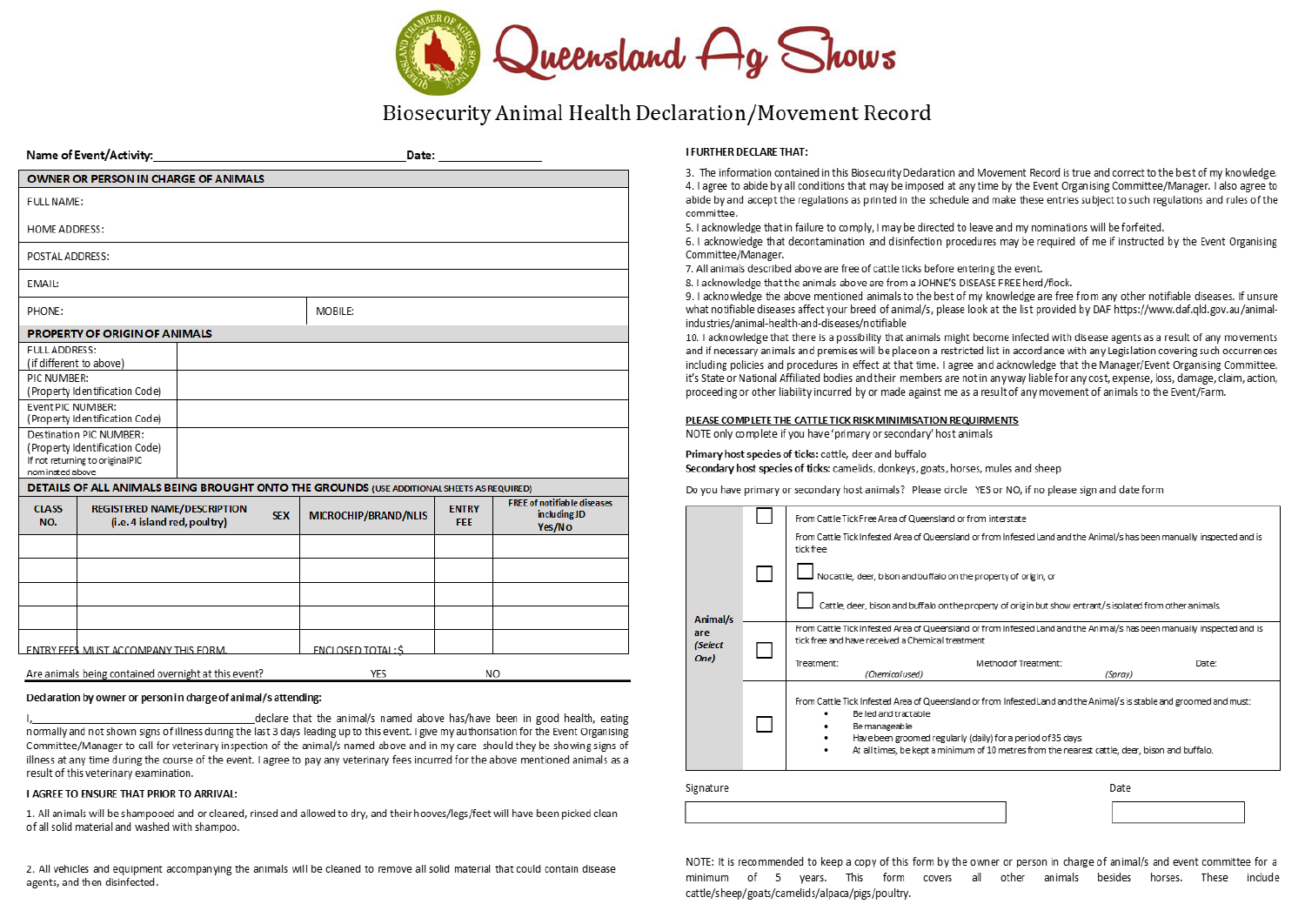

## Biosecurity Animal Health Declaration/Movement Record

S

|                      | Name of Event/Activity:                                            |            |                                                                                           | Date: ___________          |                                                               |
|----------------------|--------------------------------------------------------------------|------------|-------------------------------------------------------------------------------------------|----------------------------|---------------------------------------------------------------|
|                      | <b>OWNER OR PERSON IN CHARGE OF ANIMALS</b>                        |            |                                                                                           |                            |                                                               |
| <b>FULL NAME:</b>    |                                                                    |            |                                                                                           |                            |                                                               |
| <b>HOME ADDRESS:</b> |                                                                    |            |                                                                                           |                            |                                                               |
| POSTAL ADDRESS:      |                                                                    |            |                                                                                           |                            |                                                               |
| EMAIL:               |                                                                    |            |                                                                                           |                            |                                                               |
| PHONE:               |                                                                    |            | MOBILE:                                                                                   |                            |                                                               |
|                      | <b>PROPERTY OF ORIGIN OF ANIMALS</b>                               |            |                                                                                           |                            |                                                               |
| <b>FULL ADDRESS:</b> | (if different to above)                                            |            |                                                                                           |                            |                                                               |
| PIC NUMBER:          | (Property Identification Code)                                     |            |                                                                                           |                            |                                                               |
| Event PIC NUMBER:    | (Property Identification Code)                                     |            |                                                                                           |                            |                                                               |
|                      | Destination PIC NUMBER:                                            |            |                                                                                           |                            |                                                               |
| nominated above      | (Property Identification Code)<br>If not returning to originalPIC  |            |                                                                                           |                            |                                                               |
|                      |                                                                    |            | DETAILS OF ALL ANIMALS BEING BROUGHT ONTO THE GROUNDS (USE ADDITIONAL SHEETS AS REQUIRED) |                            |                                                               |
| <b>CLASS</b><br>NO.  | <b>REGISTERED NAME/DESCRIPTION</b><br>(i.e. 4 island red, poultry) | <b>SEX</b> | <b>MICROCHIP/BRAND/NLIS</b>                                                               | <b>ENTRY</b><br><b>FFF</b> | <b>FREE of notifiable diseases</b><br>in cluding JD<br>Yes/No |
|                      |                                                                    |            |                                                                                           |                            |                                                               |
|                      |                                                                    |            |                                                                                           |                            |                                                               |
|                      |                                                                    |            |                                                                                           |                            |                                                               |
|                      |                                                                    |            |                                                                                           |                            |                                                               |
|                      | <b>ENTRY FEES MUST ACCOMPANY THIS FORM.</b>                        |            | <b>ENCLOSED TOTAL: S</b>                                                                  |                            |                                                               |
|                      | Are animals being contained overnight at this event?               |            | YES                                                                                       | NO.                        |                                                               |

#### Dedaration by owner or person in charge of animal/s attending:

declare that the animal/s named above has/have been in good health, eating normally and not shown signs of illness during the last 3 days leading up to this event. I give my authorisation for the Event Organising Committee/Manager to call for veterinary inspection of the animal/s named above and in my care should they be showing signs of illness at any time during the course of the event. I agree to pay any veterinary fees incurred for the above mentioned animals as a result of this veterinary examination.

#### I AGREE TO ENSURE THAT PRIOR TO ARRIVAL:

1. All animals will be shampooed and or cleaned, rinsed and allowed to dry, and their hooves/legs/feet will have been picked clean of all solid material and washed with shampoo.

2. All vehicles and equipment accompanying the animals will be cleaned to remove all solid material that could contain disease agents, and then disinfected.

#### **I FURTHER DECI ARE THAT:**

3. The information contained in this Biosecurity Declaration and Movement Record is true and correct to the best of my knowledge. 4. I agree to abide by all conditions that may be imposed at any time by the Event Organising Committee/Manager. I also agree to abide by and accept the regulations as printed in the schedule and make these entries subject to such regulations and rules of the committee.

5. I acknowledge that in failure to comply, I may be directed to leave and my nominations will be forfeited.

6. I acknowledge that decontamination and disinfection procedures may be required of me if instructed by the Event Organising Committee/Manager.

7. All animals described above are free of cattle ticks before entering the event.

8. I acknowledge that the animals above are from a JOHNE'S DISEASE FREE herd/flock.

9. I acknowledge the above mentioned animals to the best of my knowledge are free from any other notifiable diseases. If unsure what notifiable diseases affect your breed of animal/s, please look at the list provided by DAF https://www.daf.qld.gov.au/animalindustries/animal-health-and-diseases/notifiable

10. I acknowledge that there is a possibility that animals might become infected with disease agents as a result of any movements and if necessary animals and premises will be place on a restricted list in accordance with any Legislation covering such occurrences including policies and procedures in effect at that time. I agree and acknowledge that the Manager/Event Organising Committee, it's State or National Affiliated bodies and their members are not in any way liable for any cost, expense, loss, damage, claim, action, proceeding or other liability incurred by or made against me as a result of any movement of animals to the Event/Farm.

#### PLEASE COMPLETE THE CATTLE TICK RISK MINIMISATION REQUIRMENTS

NOTE only complete if you have 'primary or secondary' host animals

#### Primary host species of ticks: cattle, deer and buffalo

Secondary host species of ticks: camelids, donkeys, goats, horses, mules and sheep

Do you have primary or secondary host animals? Please circle YES or NO, if no please sign and date form

|                |                                                                                                                                                                            | From Cattle Tick Free Area of Queensland or from interstate                                                                                                                                                                                                                                                                             |  |  |  |
|----------------|----------------------------------------------------------------------------------------------------------------------------------------------------------------------------|-----------------------------------------------------------------------------------------------------------------------------------------------------------------------------------------------------------------------------------------------------------------------------------------------------------------------------------------|--|--|--|
|                |                                                                                                                                                                            | From Cattle Tick Infested Area of Queensland or from Infested Land and the Animal/s has been manually inspected and is<br>tick free                                                                                                                                                                                                     |  |  |  |
|                |                                                                                                                                                                            | No cattle, deer, bison and buffalo on the property of origin, or                                                                                                                                                                                                                                                                        |  |  |  |
| Animal/s       |                                                                                                                                                                            | Cattle, deer, bison and buffalo on the property of origin but show entrant/s isolated from other animals.                                                                                                                                                                                                                               |  |  |  |
| are<br>(Select | From Cattle Tick Infested Area of Queensland or from Infested Land and the Animal/s has been manually inspected and is<br>tick free and have received a Chemical treatment |                                                                                                                                                                                                                                                                                                                                         |  |  |  |
| One)           |                                                                                                                                                                            | Method of Treatment:<br>Treatment:<br>Date:<br>(Chemical used)<br>(Spray)                                                                                                                                                                                                                                                               |  |  |  |
|                |                                                                                                                                                                            | From Cattle Tick Infested Area of Queensland or from Infested Land and the Animal/s is stable and groomed and must:<br>Be led and tractable<br>Be manageable<br>Have been groomed regularly (daily) for a period of 35 days<br>٠<br>At all times, be kept a minimum of 10 metres from the nearest cattle, deer, bison and buffalo.<br>٠ |  |  |  |
| ignature       |                                                                                                                                                                            | Date                                                                                                                                                                                                                                                                                                                                    |  |  |  |
|                |                                                                                                                                                                            |                                                                                                                                                                                                                                                                                                                                         |  |  |  |

NOTE: It is recommended to keep a copy of this form by the owner or person in charge of animal/s and event committee for a minimum of 5 years. This form covers all other animals besides horses. These indude cattle/sheep/goats/camelids/alpaca/pigs/poultry.